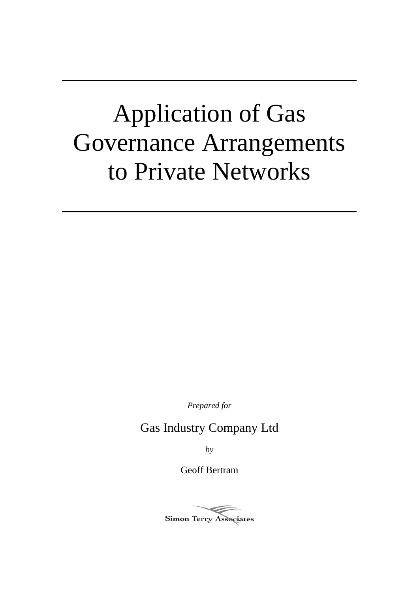# Application of Gas Governance Arrangements to Private Networks

*Prepared for* 

Gas Industry Company Ltd

*by* 

Geoff Bertram

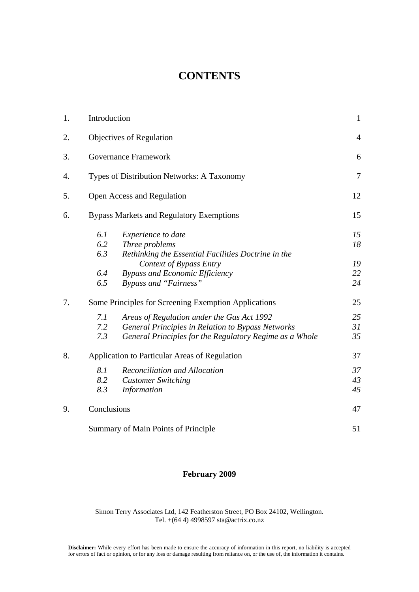# **CONTENTS**

| 1. | Introduction                        |                                                         |                |  |  |  |
|----|-------------------------------------|---------------------------------------------------------|----------------|--|--|--|
| 2. |                                     | Objectives of Regulation                                | $\overline{4}$ |  |  |  |
| 3. |                                     | <b>Governance Framework</b>                             |                |  |  |  |
| 4. |                                     | Types of Distribution Networks: A Taxonomy              |                |  |  |  |
| 5. |                                     | Open Access and Regulation                              | 12             |  |  |  |
| 6. |                                     | <b>Bypass Markets and Regulatory Exemptions</b>         | 15             |  |  |  |
|    | 6.1                                 | Experience to date                                      | 15             |  |  |  |
|    | 6.2                                 | Three problems                                          | 18             |  |  |  |
|    | 6.3                                 | Rethinking the Essential Facilities Doctrine in the     |                |  |  |  |
|    |                                     | Context of Bypass Entry                                 | 19             |  |  |  |
|    | 6.4                                 | <b>Bypass and Economic Efficiency</b>                   | 22             |  |  |  |
|    | 6.5                                 | <b>Bypass and "Fairness"</b>                            | 24             |  |  |  |
| 7. |                                     | Some Principles for Screening Exemption Applications    | 25             |  |  |  |
|    | 7.1                                 | Areas of Regulation under the Gas Act 1992              | 25             |  |  |  |
|    | 7.2                                 | General Principles in Relation to Bypass Networks       | 31             |  |  |  |
|    | 7.3                                 | General Principles for the Regulatory Regime as a Whole | 35             |  |  |  |
| 8. |                                     | Application to Particular Areas of Regulation           | 37             |  |  |  |
|    | 8.1                                 | Reconciliation and Allocation                           | 37             |  |  |  |
|    | 8.2                                 | <b>Customer Switching</b>                               | 43             |  |  |  |
|    | 8.3                                 | <b>Information</b>                                      | 45             |  |  |  |
| 9. | Conclusions                         |                                                         |                |  |  |  |
|    | Summary of Main Points of Principle |                                                         |                |  |  |  |

# **February 2009**

Simon Terry Associates Ltd, 142 Featherston Street, PO Box 24102, Wellington. Tel. +(64 4) 4998597 sta@actrix.co.nz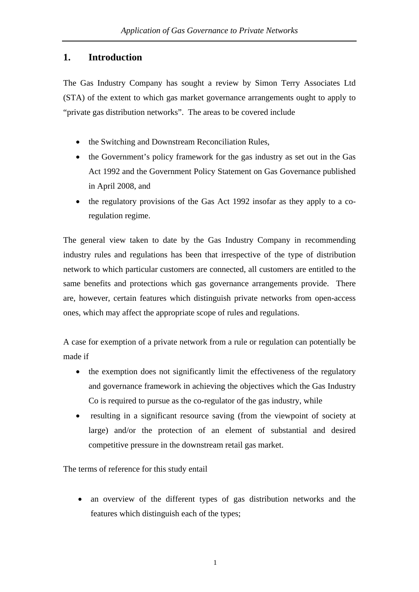# **1. Introduction**

The Gas Industry Company has sought a review by Simon Terry Associates Ltd (STA) of the extent to which gas market governance arrangements ought to apply to "private gas distribution networks". The areas to be covered include

- the Switching and Downstream Reconciliation Rules,
- the Government's policy framework for the gas industry as set out in the Gas Act 1992 and the Government Policy Statement on Gas Governance published in April 2008, and
- the regulatory provisions of the Gas Act 1992 insofar as they apply to a coregulation regime.

The general view taken to date by the Gas Industry Company in recommending industry rules and regulations has been that irrespective of the type of distribution network to which particular customers are connected, all customers are entitled to the same benefits and protections which gas governance arrangements provide. There are, however, certain features which distinguish private networks from open-access ones, which may affect the appropriate scope of rules and regulations.

A case for exemption of a private network from a rule or regulation can potentially be made if

- the exemption does not significantly limit the effectiveness of the regulatory and governance framework in achieving the objectives which the Gas Industry Co is required to pursue as the co-regulator of the gas industry, while
- resulting in a significant resource saving (from the viewpoint of society at large) and/or the protection of an element of substantial and desired competitive pressure in the downstream retail gas market.

The terms of reference for this study entail

• an overview of the different types of gas distribution networks and the features which distinguish each of the types;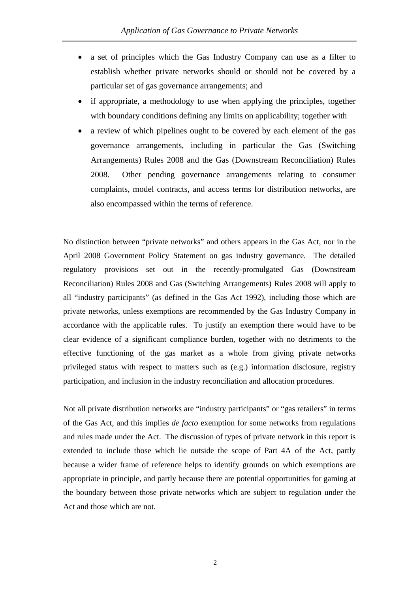- a set of principles which the Gas Industry Company can use as a filter to establish whether private networks should or should not be covered by a particular set of gas governance arrangements; and
- if appropriate, a methodology to use when applying the principles, together with boundary conditions defining any limits on applicability; together with
- a review of which pipelines ought to be covered by each element of the gas governance arrangements, including in particular the Gas (Switching Arrangements) Rules 2008 and the Gas (Downstream Reconciliation) Rules 2008. Other pending governance arrangements relating to consumer complaints, model contracts, and access terms for distribution networks, are also encompassed within the terms of reference.

No distinction between "private networks" and others appears in the Gas Act, nor in the April 2008 Government Policy Statement on gas industry governance. The detailed regulatory provisions set out in the recently-promulgated Gas (Downstream Reconciliation) Rules 2008 and Gas (Switching Arrangements) Rules 2008 will apply to all "industry participants" (as defined in the Gas Act 1992), including those which are private networks, unless exemptions are recommended by the Gas Industry Company in accordance with the applicable rules. To justify an exemption there would have to be clear evidence of a significant compliance burden, together with no detriments to the effective functioning of the gas market as a whole from giving private networks privileged status with respect to matters such as (e.g.) information disclosure, registry participation, and inclusion in the industry reconciliation and allocation procedures.

Not all private distribution networks are "industry participants" or "gas retailers" in terms of the Gas Act, and this implies *de facto* exemption for some networks from regulations and rules made under the Act. The discussion of types of private network in this report is extended to include those which lie outside the scope of Part 4A of the Act, partly because a wider frame of reference helps to identify grounds on which exemptions are appropriate in principle, and partly because there are potential opportunities for gaming at the boundary between those private networks which are subject to regulation under the Act and those which are not.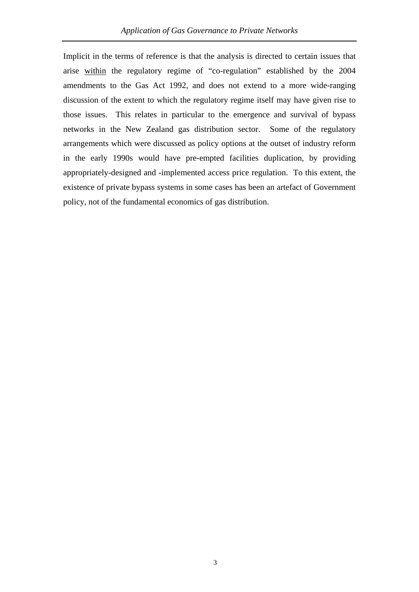Implicit in the terms of reference is that the analysis is directed to certain issues that arise within the regulatory regime of "co-regulation" established by the 2004 amendments to the Gas Act 1992, and does not extend to a more wide-ranging discussion of the extent to which the regulatory regime itself may have given rise to those issues. This relates in particular to the emergence and survival of bypass networks in the New Zealand gas distribution sector. Some of the regulatory arrangements which were discussed as policy options at the outset of industry reform in the early 1990s would have pre-empted facilities duplication, by providing appropriately-designed and -implemented access price regulation. To this extent, the existence of private bypass systems in some cases has been an artefact of Government policy, not of the fundamental economics of gas distribution.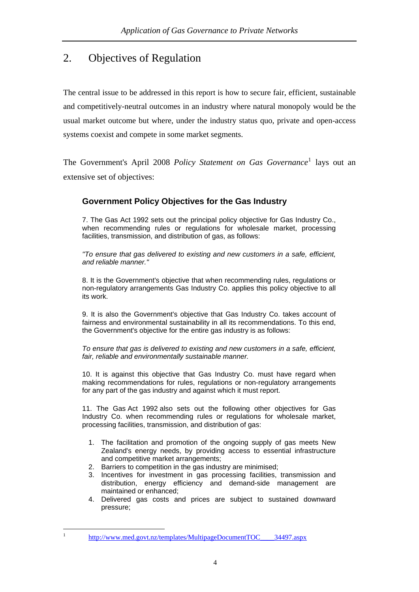# <span id="page-7-0"></span>2. Objectives of Regulation

The central issue to be addressed in this report is how to secure fair, efficient, sustainable and competitively-neutral outcomes in an industry where natural monopoly would be the usual market outcome but where, under the industry status quo, private and open-access systems coexist and compete in some market segments.

The Government's April 2008 *Policy Statement on Gas Governance*[1](#page-7-0) lays out an extensive set of objectives:

# **Government Policy Objectives for the Gas Industry**

7. The Gas Act 1992 sets out the principal policy objective for Gas Industry Co., when recommending rules or regulations for wholesale market, processing facilities, transmission, and distribution of gas, as follows:

*"To ensure that gas delivered to existing and new customers in a safe, efficient, and reliable manner."*

8. It is the Government's objective that when recommending rules, regulations or non-regulatory arrangements Gas Industry Co. applies this policy objective to all its work.

9. It is also the Government's objective that Gas Industry Co. takes account of fairness and environmental sustainability in all its recommendations. To this end, the Government's objective for the entire gas industry is as follows:

*To ensure that gas is delivered to existing and new customers in a safe, efficient, fair, reliable and environmentally sustainable manner.*

10. It is against this objective that Gas Industry Co. must have regard when making recommendations for rules, regulations or non-regulatory arrangements for any part of the gas industry and against which it must report.

11. The Gas Act 1992 also sets out the following other objectives for Gas Industry Co. when recommending rules or regulations for wholesale market, processing facilities, transmission, and distribution of gas:

- 1. The facilitation and promotion of the ongoing supply of gas meets New Zealand's energy needs, by providing access to essential infrastructure and competitive market arrangements;
- 2. Barriers to competition in the gas industry are minimised;
- 3. Incentives for investment in gas processing facilities, transmission and distribution, energy efficiency and demand-side management are maintained or enhanced;
- 4. Delivered gas costs and prices are subject to sustained downward pressure;

 $\frac{1}{1}$ 

[http://www.med.govt.nz/templates/MultipageDocumentTOC\\_\\_\\_\\_34497.aspx](http://www.med.govt.nz/templates/MultipageDocumentTOC____34497.aspx)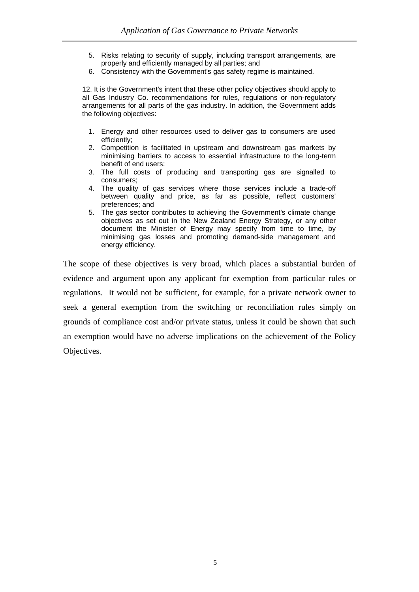- 5. Risks relating to security of supply, including transport arrangements, are properly and efficiently managed by all parties; and
- 6. Consistency with the Government's gas safety regime is maintained.

12. It is the Government's intent that these other policy objectives should apply to all Gas Industry Co. recommendations for rules, regulations or non-regulatory arrangements for all parts of the gas industry. In addition, the Government adds the following objectives:

- 1. Energy and other resources used to deliver gas to consumers are used efficiently;
- 2. Competition is facilitated in upstream and downstream gas markets by minimising barriers to access to essential infrastructure to the long-term benefit of end users;
- 3. The full costs of producing and transporting gas are signalled to consumers;
- 4. The quality of gas services where those services include a trade-off between quality and price, as far as possible, reflect customers' preferences; and
- 5. The gas sector contributes to achieving the Government's climate change objectives as set out in the New Zealand Energy Strategy, or any other document the Minister of Energy may specify from time to time, by minimising gas losses and promoting demand-side management and energy efficiency.

The scope of these objectives is very broad, which places a substantial burden of evidence and argument upon any applicant for exemption from particular rules or regulations. It would not be sufficient, for example, for a private network owner to seek a general exemption from the switching or reconciliation rules simply on grounds of compliance cost and/or private status, unless it could be shown that such an exemption would have no adverse implications on the achievement of the Policy Objectives.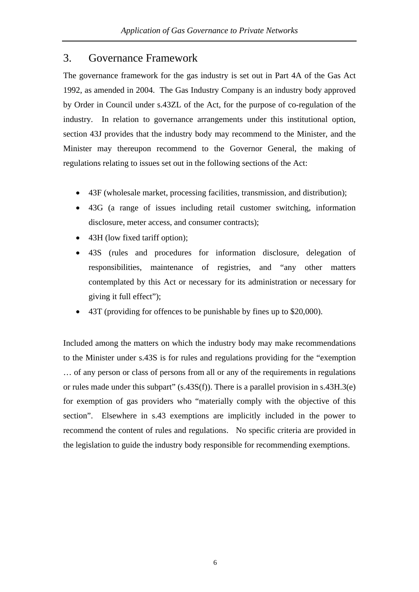# 3. Governance Framework

The governance framework for the gas industry is set out in Part 4A of the Gas Act 1992, as amended in 2004. The Gas Industry Company is an industry body approved by Order in Council under s.43ZL of the Act, for the purpose of co-regulation of the industry. In relation to governance arrangements under this institutional option, section 43J provides that the industry body may recommend to the Minister, and the Minister may thereupon recommend to the Governor General, the making of regulations relating to issues set out in the following sections of the Act:

- 43F (wholesale market, processing facilities, transmission, and distribution);
- 43G (a range of issues including retail customer switching, information disclosure, meter access, and consumer contracts);
- 43H (low fixed tariff option);
- 43S (rules and procedures for information disclosure, delegation of responsibilities, maintenance of registries, and "any other matters contemplated by this Act or necessary for its administration or necessary for giving it full effect");
- 43T (providing for offences to be punishable by fines up to \$20,000).

Included among the matters on which the industry body may make recommendations to the Minister under s.43S is for rules and regulations providing for the "exemption … of any person or class of persons from all or any of the requirements in regulations or rules made under this subpart" (s.43S(f)). There is a parallel provision in s.43H.3(e) for exemption of gas providers who "materially comply with the objective of this section". Elsewhere in s.43 exemptions are implicitly included in the power to recommend the content of rules and regulations. No specific criteria are provided in the legislation to guide the industry body responsible for recommending exemptions.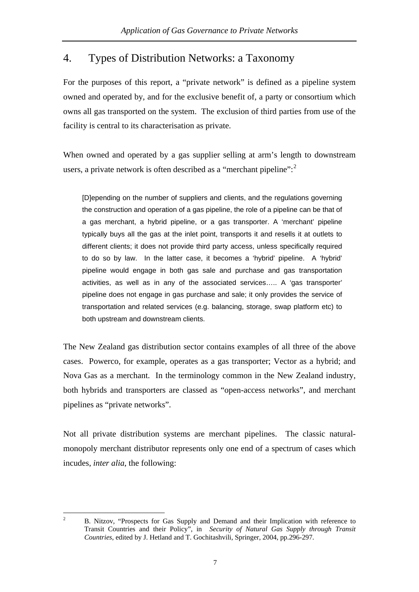# <span id="page-10-0"></span>4. Types of Distribution Networks: a Taxonomy

For the purposes of this report, a "private network" is defined as a pipeline system owned and operated by, and for the exclusive benefit of, a party or consortium which owns all gas transported on the system. The exclusion of third parties from use of the facility is central to its characterisation as private.

When owned and operated by a gas supplier selling at arm's length to downstream users, a private network is often described as a "merchant pipeline":<sup>[2](#page-10-0)</sup>

[D]epending on the number of suppliers and clients, and the regulations governing the construction and operation of a gas pipeline, the role of a pipeline can be that of a gas merchant, a hybrid pipeline, or a gas transporter. A 'merchant' pipeline typically buys all the gas at the inlet point, transports it and resells it at outlets to different clients; it does not provide third party access, unless specifically required to do so by law. In the latter case, it becomes a 'hybrid' pipeline. A 'hybrid' pipeline would engage in both gas sale and purchase and gas transportation activities, as well as in any of the associated services….. A 'gas transporter' pipeline does not engage in gas purchase and sale; it only provides the service of transportation and related services (e.g. balancing, storage, swap platform etc) to both upstream and downstream clients.

The New Zealand gas distribution sector contains examples of all three of the above cases. Powerco, for example, operates as a gas transporter; Vector as a hybrid; and Nova Gas as a merchant. In the terminology common in the New Zealand industry, both hybrids and transporters are classed as "open-access networks", and merchant pipelines as "private networks".

Not all private distribution systems are merchant pipelines. The classic naturalmonopoly merchant distributor represents only one end of a spectrum of cases which incudes, *inter alia*, the following:

 $\frac{1}{2}$  B. Nitzov, "Prospects for Gas Supply and Demand and their Implication with reference to Transit Countries and their Policy", in *Security of Natural Gas Supply through Transit Countries*, edited by J. Hetland and T. Gochitashvili, Springer, 2004, pp.296-297.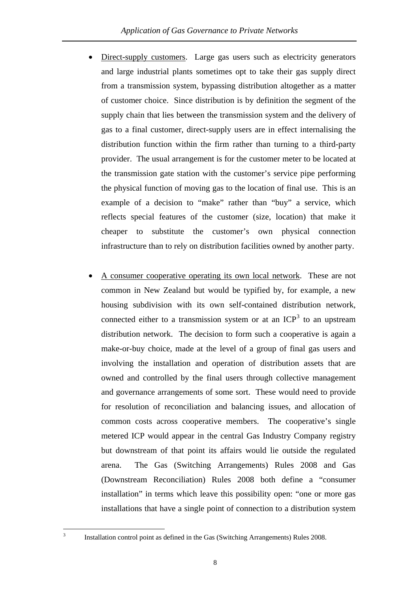- <span id="page-11-0"></span>• Direct-supply customers. Large gas users such as electricity generators and large industrial plants sometimes opt to take their gas supply direct from a transmission system, bypassing distribution altogether as a matter of customer choice. Since distribution is by definition the segment of the supply chain that lies between the transmission system and the delivery of gas to a final customer, direct-supply users are in effect internalising the distribution function within the firm rather than turning to a third-party provider. The usual arrangement is for the customer meter to be located at the transmission gate station with the customer's service pipe performing the physical function of moving gas to the location of final use. This is an example of a decision to "make" rather than "buy" a service, which reflects special features of the customer (size, location) that make it cheaper to substitute the customer's own physical connection infrastructure than to rely on distribution facilities owned by another party.
- A consumer cooperative operating its own local network. These are not common in New Zealand but would be typified by, for example, a new housing subdivision with its own self-contained distribution network, connected either to a transmission system or at an  $ICP<sup>3</sup>$  $ICP<sup>3</sup>$  $ICP<sup>3</sup>$  to an upstream distribution network. The decision to form such a cooperative is again a make-or-buy choice, made at the level of a group of final gas users and involving the installation and operation of distribution assets that are owned and controlled by the final users through collective management and governance arrangements of some sort. These would need to provide for resolution of reconciliation and balancing issues, and allocation of common costs across cooperative members. The cooperative's single metered ICP would appear in the central Gas Industry Company registry but downstream of that point its affairs would lie outside the regulated arena. The Gas (Switching Arrangements) Rules 2008 and Gas (Downstream Reconciliation) Rules 2008 both define a "consumer installation" in terms which leave this possibility open: "one or more gas installations that have a single point of connection to a distribution system

Installation control point as defined in the Gas (Switching Arrangements) Rules 2008.

3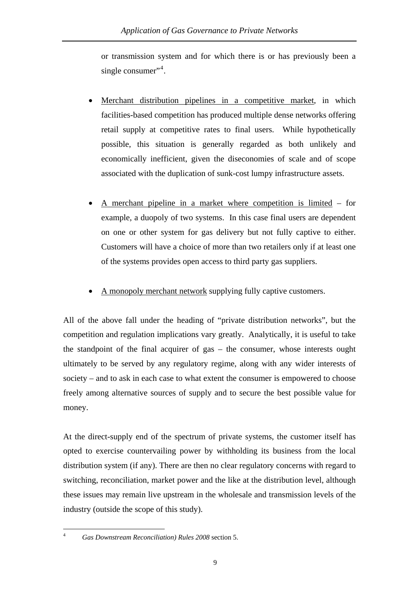or transmission system and for which there is or has previously been a single consumer"<sup>4</sup>.

- Merchant distribution pipelines in a competitive market, in which facilities-based competition has produced multiple dense networks offering retail supply at competitive rates to final users. While hypothetically possible, this situation is generally regarded as both unlikely and economically inefficient, given the diseconomies of scale and of scope associated with the duplication of sunk-cost lumpy infrastructure assets.
- A merchant pipeline in a market where competition is limited for example, a duopoly of two systems. In this case final users are dependent on one or other system for gas delivery but not fully captive to either. Customers will have a choice of more than two retailers only if at least one of the systems provides open access to third party gas suppliers.
- A monopoly merchant network supplying fully captive customers.

All of the above fall under the heading of "private distribution networks", but the competition and regulation implications vary greatly. Analytically, it is useful to take the standpoint of the final acquirer of gas – the consumer, whose interests ought ultimately to be served by any regulatory regime, along with any wider interests of society – and to ask in each case to what extent the consumer is empowered to choose freely among alternative sources of supply and to secure the best possible value for money.

At the direct-supply end of the spectrum of private systems, the customer itself has opted to exercise countervailing power by withholding its business from the local distribution system (if any). There are then no clear regulatory concerns with regard to switching, reconciliation, market power and the like at the distribution level, although these issues may remain live upstream in the wholesale and transmission levels of the industry (outside the scope of this study).

 $\frac{1}{4}$ 

*Gas Downstream Reconciliation) Rules 2008* section 5.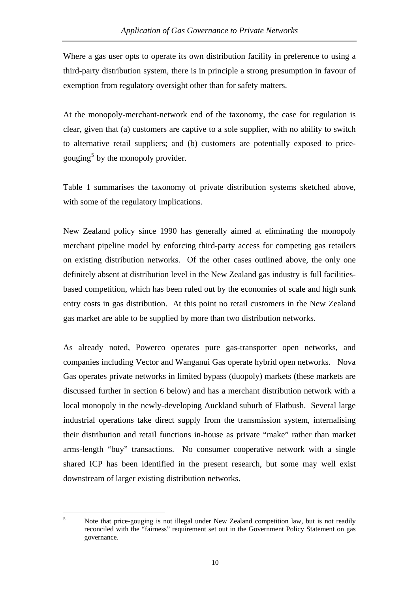<span id="page-13-0"></span>Where a gas user opts to operate its own distribution facility in preference to using a third-party distribution system, there is in principle a strong presumption in favour of exemption from regulatory oversight other than for safety matters.

At the monopoly-merchant-network end of the taxonomy, the case for regulation is clear, given that (a) customers are captive to a sole supplier, with no ability to switch to alternative retail suppliers; and (b) customers are potentially exposed to price-gouging<sup>[5](#page-13-0)</sup> by the monopoly provider.

Table 1 summarises the taxonomy of private distribution systems sketched above, with some of the regulatory implications.

New Zealand policy since 1990 has generally aimed at eliminating the monopoly merchant pipeline model by enforcing third-party access for competing gas retailers on existing distribution networks. Of the other cases outlined above, the only one definitely absent at distribution level in the New Zealand gas industry is full facilitiesbased competition, which has been ruled out by the economies of scale and high sunk entry costs in gas distribution. At this point no retail customers in the New Zealand gas market are able to be supplied by more than two distribution networks.

As already noted, Powerco operates pure gas-transporter open networks, and companies including Vector and Wanganui Gas operate hybrid open networks. Nova Gas operates private networks in limited bypass (duopoly) markets (these markets are discussed further in section 6 below) and has a merchant distribution network with a local monopoly in the newly-developing Auckland suburb of Flatbush. Several large industrial operations take direct supply from the transmission system, internalising their distribution and retail functions in-house as private "make" rather than market arms-length "buy" transactions. No consumer cooperative network with a single shared ICP has been identified in the present research, but some may well exist downstream of larger existing distribution networks.

 $\frac{1}{5}$ 

Note that price-gouging is not illegal under New Zealand competition law, but is not readily reconciled with the "fairness" requirement set out in the Government Policy Statement on gas governance.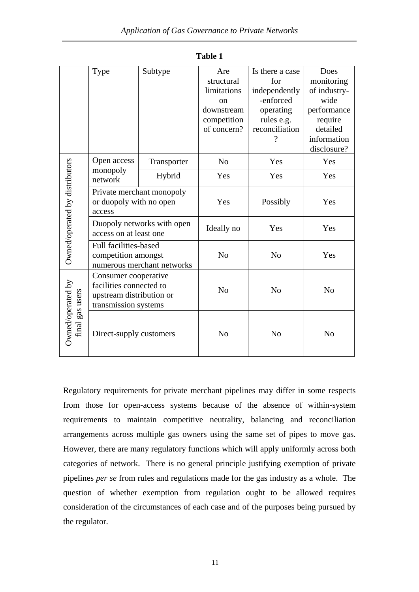|                                      | Type                                            | Subtype     | Are            | Is there a case | Does           |  |
|--------------------------------------|-------------------------------------------------|-------------|----------------|-----------------|----------------|--|
|                                      |                                                 |             | structural     | for             | monitoring     |  |
|                                      |                                                 |             | limitations    | independently   | of industry-   |  |
|                                      |                                                 |             | <sub>on</sub>  | -enforced       | wide           |  |
|                                      |                                                 |             | downstream     | operating       | performance    |  |
|                                      |                                                 |             | competition    | rules e.g.      | require        |  |
|                                      |                                                 |             | of concern?    | reconciliation  | detailed       |  |
|                                      |                                                 |             |                |                 | information    |  |
|                                      |                                                 |             |                |                 | disclosure?    |  |
|                                      | Open access                                     | Transporter | N <sub>o</sub> | Yes             | Yes            |  |
| Owned/operated by distributors       | monopoly<br>network                             | Hybrid      | Yes            | Yes             | Yes            |  |
|                                      | Private merchant monopoly                       |             |                |                 |                |  |
|                                      | or duopoly with no open                         |             | Yes            | Possibly        | Yes            |  |
|                                      | access                                          |             |                |                 |                |  |
|                                      | Duopoly networks with open                      |             | Ideally no     | Yes             | Yes            |  |
|                                      | access on at least one                          |             |                |                 |                |  |
|                                      | Full facilities-based                           |             |                |                 |                |  |
|                                      | competition amongst                             |             | N <sub>0</sub> | N <sub>o</sub>  | Yes            |  |
|                                      | numerous merchant networks                      |             |                |                 |                |  |
|                                      | Consumer cooperative<br>facilities connected to |             |                |                 |                |  |
|                                      |                                                 |             | N <sub>o</sub> | N <sub>o</sub>  | N <sub>o</sub> |  |
|                                      | upstream distribution or                        |             |                |                 |                |  |
|                                      | transmission systems                            |             |                |                 |                |  |
| Owned/operated by<br>final gas users | Direct-supply customers                         |             | N <sub>o</sub> | N <sub>o</sub>  | N <sub>o</sub> |  |
|                                      |                                                 |             |                |                 |                |  |

**Table 1** 

Regulatory requirements for private merchant pipelines may differ in some respects from those for open-access systems because of the absence of within-system requirements to maintain competitive neutrality, balancing and reconciliation arrangements across multiple gas owners using the same set of pipes to move gas. However, there are many regulatory functions which will apply uniformly across both categories of network. There is no general principle justifying exemption of private pipelines *per se* from rules and regulations made for the gas industry as a whole. The question of whether exemption from regulation ought to be allowed requires consideration of the circumstances of each case and of the purposes being pursued by the regulator.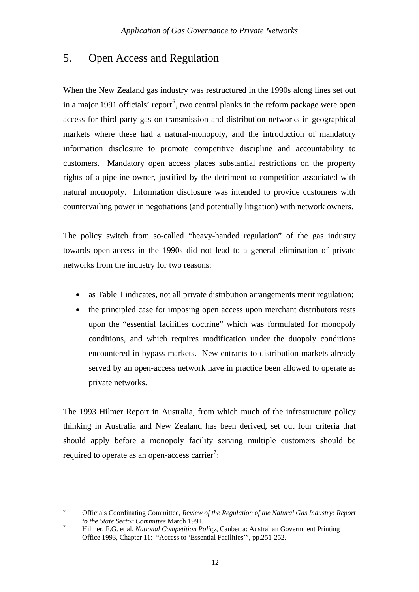# <span id="page-15-0"></span>5. Open Access and Regulation

When the New Zealand gas industry was restructured in the 1990s along lines set out in a major 1991 officials' report<sup>[6](#page-15-0)</sup>, two central planks in the reform package were open access for third party gas on transmission and distribution networks in geographical markets where these had a natural-monopoly, and the introduction of mandatory information disclosure to promote competitive discipline and accountability to customers. Mandatory open access places substantial restrictions on the property rights of a pipeline owner, justified by the detriment to competition associated with natural monopoly. Information disclosure was intended to provide customers with countervailing power in negotiations (and potentially litigation) with network owners.

The policy switch from so-called "heavy-handed regulation" of the gas industry towards open-access in the 1990s did not lead to a general elimination of private networks from the industry for two reasons:

- as Table 1 indicates, not all private distribution arrangements merit regulation;
- the principled case for imposing open access upon merchant distributors rests upon the "essential facilities doctrine" which was formulated for monopoly conditions, and which requires modification under the duopoly conditions encountered in bypass markets. New entrants to distribution markets already served by an open-access network have in practice been allowed to operate as private networks.

The 1993 Hilmer Report in Australia, from which much of the infrastructure policy thinking in Australia and New Zealand has been derived, set out four criteria that should apply before a monopoly facility serving multiple customers should be required to operate as an open-access carrier<sup>[7](#page-15-0)</sup>:

 $\frac{1}{6}$  Officials Coordinating Committee, *Review of the Regulation of the Natural Gas Industry: Report to the State Sector Committee March 1991.*<br><sup>7</sup> *Hilmor E.G. et al. Mational Compatition Be* 

Hilmer, F.G. et al, *National Competition Policy*, Canberra: Australian Government Printing Office 1993, Chapter 11: "Access to 'Essential Facilities'", pp.251-252.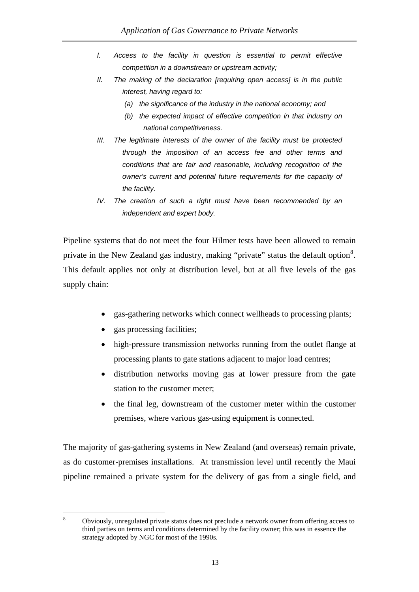- <span id="page-16-0"></span>*I.* Access to the facility in question is essential to permit effective *competition in a downstream or upstream activity;*
- *II. The making of the declaration [requiring open access] is in the public interest, having regard to:* 
	- *(a) the significance of the industry in the national economy; and*
	- *(b) the expected impact of effective competition in that industry on national competitiveness.*
- *III. The legitimate interests of the owner of the facility must be protected through the imposition of an access fee and other terms and conditions that are fair and reasonable, including recognition of the owner's current and potential future requirements for the capacity of the facility.*
- *IV. The creation of such a right must have been recommended by an independent and expert body.*

Pipeline systems that do not meet the four Hilmer tests have been allowed to remain private in the New Zealand gas industry, making "private" status the default option<sup>[8](#page-16-0)</sup>. This default applies not only at distribution level, but at all five levels of the gas supply chain:

- gas-gathering networks which connect wellheads to processing plants;
- gas processing facilities;
- high-pressure transmission networks running from the outlet flange at processing plants to gate stations adjacent to major load centres;
- distribution networks moving gas at lower pressure from the gate station to the customer meter;
- the final leg, downstream of the customer meter within the customer premises, where various gas-using equipment is connected.

The majority of gas-gathering systems in New Zealand (and overseas) remain private, as do customer-premises installations. At transmission level until recently the Maui pipeline remained a private system for the delivery of gas from a single field, and

 8 Obviously, unregulated private status does not preclude a network owner from offering access to third parties on terms and conditions determined by the facility owner; this was in essence the strategy adopted by NGC for most of the 1990s.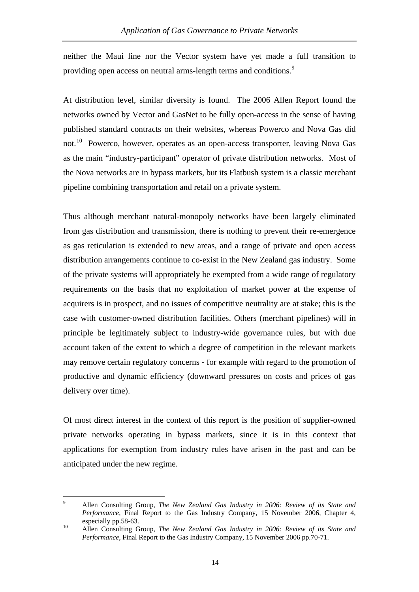<span id="page-17-0"></span>neither the Maui line nor the Vector system have yet made a full transition to providing open access on neutral arms-length terms and conditions.<sup>[9](#page-17-0)</sup>

At distribution level, similar diversity is found. The 2006 Allen Report found the networks owned by Vector and GasNet to be fully open-access in the sense of having published standard contracts on their websites, whereas Powerco and Nova Gas did not.<sup>[10](#page-17-0)</sup> Powerco, however, operates as an open-access transporter, leaving Nova Gas as the main "industry-participant" operator of private distribution networks. Most of the Nova networks are in bypass markets, but its Flatbush system is a classic merchant pipeline combining transportation and retail on a private system.

Thus although merchant natural-monopoly networks have been largely eliminated from gas distribution and transmission, there is nothing to prevent their re-emergence as gas reticulation is extended to new areas, and a range of private and open access distribution arrangements continue to co-exist in the New Zealand gas industry. Some of the private systems will appropriately be exempted from a wide range of regulatory requirements on the basis that no exploitation of market power at the expense of acquirers is in prospect, and no issues of competitive neutrality are at stake; this is the case with customer-owned distribution facilities. Others (merchant pipelines) will in principle be legitimately subject to industry-wide governance rules, but with due account taken of the extent to which a degree of competition in the relevant markets may remove certain regulatory concerns - for example with regard to the promotion of productive and dynamic efficiency (downward pressures on costs and prices of gas delivery over time).

Of most direct interest in the context of this report is the position of supplier-owned private networks operating in bypass markets, since it is in this context that applications for exemption from industry rules have arisen in the past and can be anticipated under the new regime.

<sup>-&</sup>lt;br>9 Allen Consulting Group, *The New Zealand Gas Industry in 2006: Review of its State and Performance*, Final Report to the Gas Industry Company, 15 November 2006, Chapter 4, especially pp.58-63. 10 Allen Consulting Group, *The New Zealand Gas Industry in 2006: Review of its State and* 

*Performance*, Final Report to the Gas Industry Company, 15 November 2006 pp.70-71.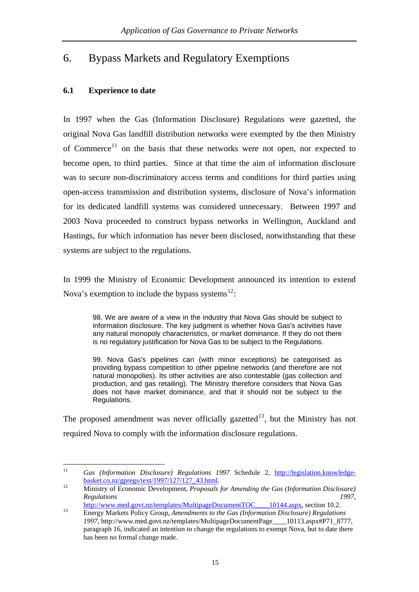# <span id="page-18-0"></span>6. Bypass Markets and Regulatory Exemptions

# **6.1 Experience to date**

In 1997 when the Gas (Information Disclosure) Regulations were gazetted, the original Nova Gas landfill distribution networks were exempted by the then Ministry of Commerce<sup>[11](#page-18-0)</sup> on the basis that these networks were not open, nor expected to become open, to third parties. Since at that time the aim of information disclosure was to secure non-discriminatory access terms and conditions for third parties using open-access transmission and distribution systems, disclosure of Nova's information for its dedicated landfill systems was considered unnecessary. Between 1997 and 2003 Nova proceeded to construct bypass networks in Wellington, Auckland and Hastings, for which information has never been disclosed, notwithstanding that these systems are subject to the regulations.

In 1999 the Ministry of Economic Development announced its intention to extend Nova's exemption to include the bypass systems $^{12}$  $^{12}$  $^{12}$ :

98. We are aware of a view in the industry that Nova Gas should be subject to information disclosure. The key judgment is whether Nova Gas's activities have any natural monopoly characteristics, or market dominance. If they do not there is no regulatory justification for Nova Gas to be subject to the Regulations.

99. Nova Gas's pipelines can (with minor exceptions) be categorised as providing bypass competition to other pipeline networks (and therefore are not natural monopolies). Its other activities are also contestable (gas collection and production, and gas retailing). The Ministry therefore considers that Nova Gas does not have market dominance, and that it should not be subject to the Regulations.

The proposed amendment was never officially gazetted<sup>[13](#page-18-0)</sup>, but the Ministry has not required Nova to comply with the information disclosure regulations.

 $11\,$ Gas (Information Disclosure) Regulations 1997 Schedule 2, http://legislation.knowledge-<br>basket.co.nz/gpregs/text/1997/127/127\_43.html.

<sup>&</sup>lt;sup>12</sup> Ministry of Economic Development, *Proposals for Amending the Gas (Information Disclosure) Regulations* 1997,<br>http://www.med.govt.nz/templates/MultipageDocumentTOC 10144.aspx, section 10.2.

https://www.med.govt.nz/templates/MultipageDocumentTOC\_\_\_\_\_10144.aspx, section 10.2. 13 Energy Markets Policy Group, *Amendments to the Gas (Information Disclosure) Regulations* 

*<sup>1997,</sup>* http://www.med.govt.nz/templates/MultipageDocumentPage\_\_\_\_10113.aspx#P71\_8777, paragraph 16, indicated an intention to change the regulations to exempt Nova, but to date there has been no formal change made.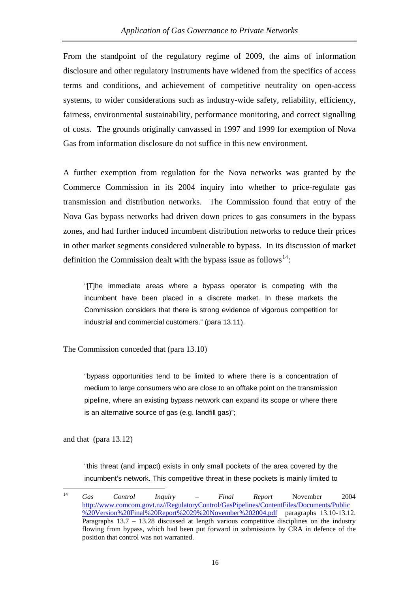<span id="page-19-0"></span>From the standpoint of the regulatory regime of 2009, the aims of information disclosure and other regulatory instruments have widened from the specifics of access terms and conditions, and achievement of competitive neutrality on open-access systems, to wider considerations such as industry-wide safety, reliability, efficiency, fairness, environmental sustainability, performance monitoring, and correct signalling of costs. The grounds originally canvassed in 1997 and 1999 for exemption of Nova Gas from information disclosure do not suffice in this new environment.

A further exemption from regulation for the Nova networks was granted by the Commerce Commission in its 2004 inquiry into whether to price-regulate gas transmission and distribution networks. The Commission found that entry of the Nova Gas bypass networks had driven down prices to gas consumers in the bypass zones, and had further induced incumbent distribution networks to reduce their prices in other market segments considered vulnerable to bypass. In its discussion of market definition the Commission dealt with the bypass issue as follows<sup>[14](#page-19-0)</sup>:

"[T]he immediate areas where a bypass operator is competing with the incumbent have been placed in a discrete market. In these markets the Commission considers that there is strong evidence of vigorous competition for industrial and commercial customers." (para 13.11).

The Commission conceded that (para 13.10)

"bypass opportunities tend to be limited to where there is a concentration of medium to large consumers who are close to an offtake point on the transmission pipeline, where an existing bypass network can expand its scope or where there is an alternative source of gas (e.g. landfill gas)";

and that (para 13.12)

"this threat (and impact) exists in only small pockets of the area covered by the incumbent's network. This competitive threat in these pockets is mainly limited to

 $14$ 14 *Gas Control Inquiry – Final Report* November 2004 [http://www.comcom.govt.nz//RegulatoryControl/GasPipelines/ContentFiles/Documents/Public](http://www.comcom.govt.nz//RegulatoryControl/GasPipelines/ContentFiles/Documents/Public%20Version%20Final%20Report%2029%20November%202004.pdf) [%20Version%20Final%20Report%2029%20November%202004.pdf](http://www.comcom.govt.nz//RegulatoryControl/GasPipelines/ContentFiles/Documents/Public%20Version%20Final%20Report%2029%20November%202004.pdf) paragraphs 13.10-13.12. Paragraphs 13.7 – 13.28 discussed at length various competitive disciplines on the industry flowing from bypass, which had been put forward in submissions by CRA in defence of the position that control was not warranted.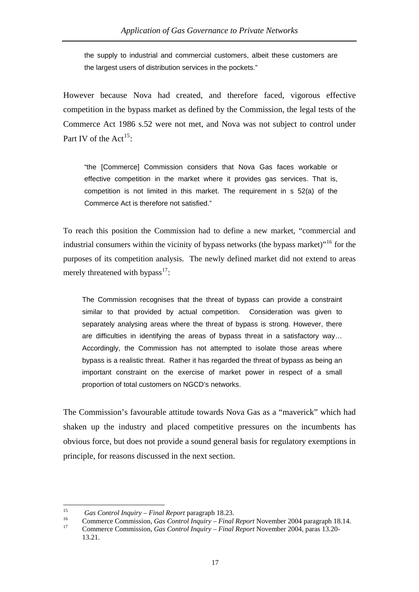<span id="page-20-0"></span>the supply to industrial and commercial customers, albeit these customers are the largest users of distribution services in the pockets."

However because Nova had created, and therefore faced, vigorous effective competition in the bypass market as defined by the Commission, the legal tests of the Commerce Act 1986 s.52 were not met, and Nova was not subject to control under Part IV of the Act<sup>[15](#page-20-0)</sup>:

"the [Commerce] Commission considers that Nova Gas faces workable or effective competition in the market where it provides gas services. That is, competition is not limited in this market. The requirement in s 52(a) of the Commerce Act is therefore not satisfied."

To reach this position the Commission had to define a new market, "commercial and industrial consumers within the vicinity of bypass networks (the bypass market)"<sup>[16](#page-20-0)</sup> for the purposes of its competition analysis. The newly defined market did not extend to areas merely threatened with bypass<sup>[17](#page-20-0)</sup>:

The Commission recognises that the threat of bypass can provide a constraint similar to that provided by actual competition. Consideration was given to separately analysing areas where the threat of bypass is strong. However, there are difficulties in identifying the areas of bypass threat in a satisfactory way… Accordingly, the Commission has not attempted to isolate those areas where bypass is a realistic threat. Rather it has regarded the threat of bypass as being an important constraint on the exercise of market power in respect of a small proportion of total customers on NGCD's networks.

The Commission's favourable attitude towards Nova Gas as a "maverick" which had shaken up the industry and placed competitive pressures on the incumbents has obvious force, but does not provide a sound general basis for regulatory exemptions in principle, for reasons discussed in the next section.

 $15$ 

<sup>&</sup>lt;sup>15</sup> *Gas Control Inquiry – Final Report* paragraph 18.23.<br>
Commerce Commission, *Gas Control Inquiry – Final Report* November 2004 paragraph 18.14.<br>
Commerce Commission, *Gas Control Inquiry – Final Report* November 2004

<sup>13.21.</sup>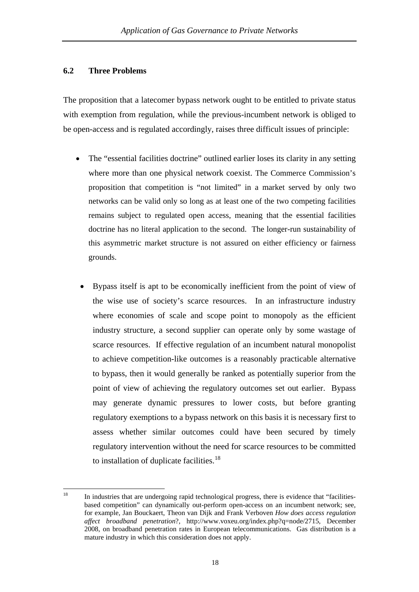## <span id="page-21-0"></span>**6.2 Three Problems**

The proposition that a latecomer bypass network ought to be entitled to private status with exemption from regulation, while the previous-incumbent network is obliged to be open-access and is regulated accordingly, raises three difficult issues of principle:

- The "essential facilities doctrine" outlined earlier loses its clarity in any setting where more than one physical network coexist. The Commerce Commission's proposition that competition is "not limited" in a market served by only two networks can be valid only so long as at least one of the two competing facilities remains subject to regulated open access, meaning that the essential facilities doctrine has no literal application to the second. The longer-run sustainability of this asymmetric market structure is not assured on either efficiency or fairness grounds.
- Bypass itself is apt to be economically inefficient from the point of view of the wise use of society's scarce resources. In an infrastructure industry where economies of scale and scope point to monopoly as the efficient industry structure, a second supplier can operate only by some wastage of scarce resources. If effective regulation of an incumbent natural monopolist to achieve competition-like outcomes is a reasonably practicable alternative to bypass, then it would generally be ranked as potentially superior from the point of view of achieving the regulatory outcomes set out earlier. Bypass may generate dynamic pressures to lower costs, but before granting regulatory exemptions to a bypass network on this basis it is necessary first to assess whether similar outcomes could have been secured by timely regulatory intervention without the need for scarce resources to be committed to installation of duplicate facilities.<sup>[18](#page-21-0)</sup>

<sup>18</sup> 18 In industries that are undergoing rapid technological progress, there is evidence that "facilitiesbased competition" can dynamically out-perform open-access on an incumbent network; see, for example, Jan Bouckaert, Theon van Dijk and Frank Verboven *How does access regulation affect broadband penetration*?, http://www.voxeu.org/index.php?q=node/2715, December 2008, on broadband penetration rates in European telecommunications. Gas distribution is a mature industry in which this consideration does not apply.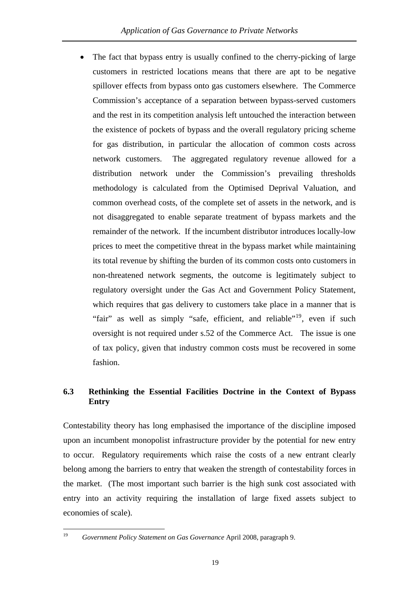<span id="page-22-0"></span>fashion. • The fact that bypass entry is usually confined to the cherry-picking of large customers in restricted locations means that there are apt to be negative spillover effects from bypass onto gas customers elsewhere. The Commerce Commission's acceptance of a separation between bypass-served customers and the rest in its competition analysis left untouched the interaction between the existence of pockets of bypass and the overall regulatory pricing scheme for gas distribution, in particular the allocation of common costs across network customers. The aggregated regulatory revenue allowed for a distribution network under the Commission's prevailing thresholds methodology is calculated from the Optimised Deprival Valuation, and common overhead costs, of the complete set of assets in the network, and is not disaggregated to enable separate treatment of bypass markets and the remainder of the network. If the incumbent distributor introduces locally-low prices to meet the competitive threat in the bypass market while maintaining its total revenue by shifting the burden of its common costs onto customers in non-threatened network segments, the outcome is legitimately subject to regulatory oversight under the Gas Act and Government Policy Statement, which requires that gas delivery to customers take place in a manner that is "fair" as well as simply "safe, efficient, and reliable"<sup>[19](#page-22-0)</sup>, even if such oversight is not required under s.52 of the Commerce Act. The issue is one of tax policy, given that industry common costs must be recovered in some

# 6.3 Rethinking the Essential Facilities Doctrine in the Context of Bypass **Entry**

entry into an activity requiring the installation of large fixed assets subject to economies of scale). Contestability theory has long emphasised the importance of the discipline imposed upon an incumbent monopolist infrastructure provider by the potential for new entry to occur. Regulatory requirements which raise the costs of a new entrant clearly belong among the barriers to entry that weaken the strength of contestability forces in the market. (The most important such barrier is the high sunk cost associated with

19

<sup>19</sup> *Government Policy Statement on Gas Governance* April 2008, paragraph 9.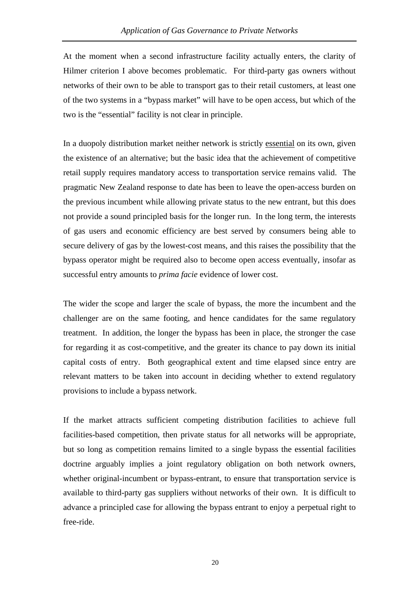At the moment when a second infrastructure facility actually enters, the clarity of Hilmer criterion I above becomes problematic. For third-party gas owners without networks of their own to be able to transport gas to their retail customers, at least one of the two systems in a "bypass market" will have to be open access, but which of the two is the "essential" facility is not clear in principle.

In a duopoly distribution market neither network is strictly essential on its own, given the existence of an alternative; but the basic idea that the achievement of competitive retail supply requires mandatory access to transportation service remains valid. The pragmatic New Zealand response to date has been to leave the open-access burden on the previous incumbent while allowing private status to the new entrant, but this does not provide a sound principled basis for the longer run. In the long term, the interests of gas users and economic efficiency are best served by consumers being able to secure delivery of gas by the lowest-cost means, and this raises the possibility that the bypass operator might be required also to become open access eventually, insofar as successful entry amounts to *prima facie* evidence of lower cost.

The wider the scope and larger the scale of bypass, the more the incumbent and the challenger are on the same footing, and hence candidates for the same regulatory treatment. In addition, the longer the bypass has been in place, the stronger the case for regarding it as cost-competitive, and the greater its chance to pay down its initial capital costs of entry. Both geographical extent and time elapsed since entry are relevant matters to be taken into account in deciding whether to extend regulatory provisions to include a bypass network.

If the market attracts sufficient competing distribution facilities to achieve full facilities-based competition, then private status for all networks will be appropriate, but so long as competition remains limited to a single bypass the essential facilities doctrine arguably implies a joint regulatory obligation on both network owners, whether original-incumbent or bypass-entrant, to ensure that transportation service is available to third-party gas suppliers without networks of their own. It is difficult to advance a principled case for allowing the bypass entrant to enjoy a perpetual right to free-ride.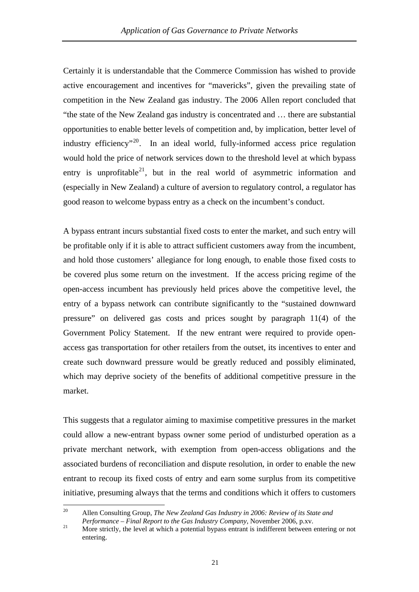<span id="page-24-0"></span>good reason to welcome bypass entry as a check on the incumbent's conduct. Certainly it is understandable that the Commerce Commission has wished to provide active encouragement and incentives for "mavericks", given the prevailing state of competition in the New Zealand gas industry. The 2006 Allen report concluded that "the state of the New Zealand gas industry is concentrated and … there are substantial opportunities to enable better levels of competition and, by implication, better level of industry efficiency<sup> $n^2$ </sup>. In an ideal world, fully-informed access price regulation would hold the price of network services down to the threshold level at which bypass entry is unprofitable<sup>[21](#page-24-0)</sup>, but in the real world of asymmetric information and (especially in New Zealand) a culture of aversion to regulatory control, a regulator has

A bypass entrant incurs substantial fixed costs to enter the market, and such entry will be profitable only if it is able to attract sufficient customers away from the incumbent, and hold those customers' allegiance for long enough, to enable those fixed costs to be covered plus some return on the investment. If the access pricing regime of the open-access incumbent has previously held prices above the competitive level, the entry of a bypass network can contribute significantly to the "sustained downward pressure" on delivered gas costs and prices sought by paragraph 11(4) of the Government Policy Statement. If the new entrant were required to provide openaccess gas transportation for other retailers from the outset, its incentives to enter and create such downward pressure would be greatly reduced and possibly eliminated, which may deprive society of the benefits of additional competitive pressure in the market.

This suggests that a regulator aiming to maximise competitive pressures in the market could allow a new-entrant bypass owner some period of undisturbed operation as a private merchant network, with exemption from open-access obligations and the associated burdens of reconciliation and dispute resolution, in order to enable the new entrant to recoup its fixed costs of entry and earn some surplus from its competitive initiative, presuming always that the terms and conditions which it offers to customers

 $20<sup>o</sup>$ 20 Allen Consulting Group, *The New Zealand Gas Industry in 2006: Review of its State and Performance – Final Report to the Gas Industry Company*, November 2006, p.xv.<br><sup>21</sup> More strictly, the level at which a potential bypass entrant is indifferent between entering or not

entering.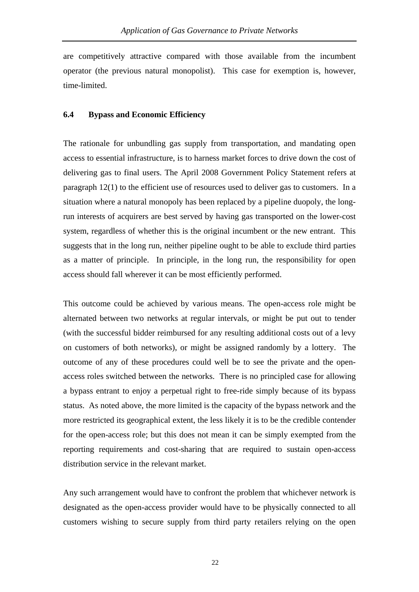are competitively attractive compared with those available from the incumbent operator (the previous natural monopolist). This case for exemption is, however, time-limited.

#### **6.4 Bypass and Economic Efficiency**

The rationale for unbundling gas supply from transportation, and mandating open access to essential infrastructure, is to harness market forces to drive down the cost of delivering gas to final users. The April 2008 Government Policy Statement refers at paragraph 12(1) to the efficient use of resources used to deliver gas to customers. In a situation where a natural monopoly has been replaced by a pipeline duopoly, the longrun interests of acquirers are best served by having gas transported on the lower-cost system, regardless of whether this is the original incumbent or the new entrant. This suggests that in the long run, neither pipeline ought to be able to exclude third parties as a matter of principle. In principle, in the long run, the responsibility for open access should fall wherever it can be most efficiently performed.

This outcome could be achieved by various means. The open-access role might be alternated between two networks at regular intervals, or might be put out to tender (with the successful bidder reimbursed for any resulting additional costs out of a levy on customers of both networks), or might be assigned randomly by a lottery. The outcome of any of these procedures could well be to see the private and the openaccess roles switched between the networks. There is no principled case for allowing a bypass entrant to enjoy a perpetual right to free-ride simply because of its bypass status. As noted above, the more limited is the capacity of the bypass network and the more restricted its geographical extent, the less likely it is to be the credible contender for the open-access role; but this does not mean it can be simply exempted from the reporting requirements and cost-sharing that are required to sustain open-access distribution service in the relevant market.

Any such arrangement would have to confront the problem that whichever network is designated as the open-access provider would have to be physically connected to all customers wishing to secure supply from third party retailers relying on the open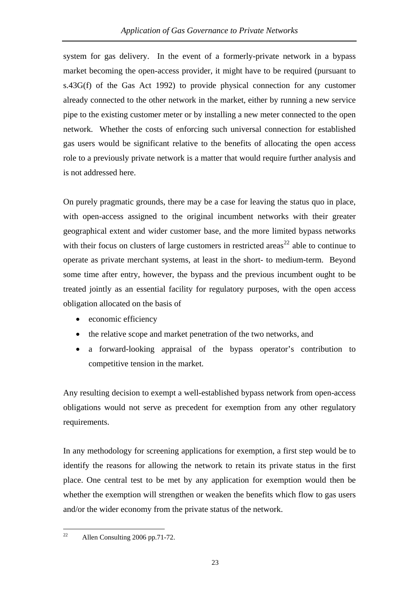<span id="page-26-0"></span>system for gas delivery. In the event of a formerly-private network in a bypass market becoming the open-access provider, it might have to be required (pursuant to s.43G(f) of the Gas Act 1992) to provide physical connection for any customer already connected to the other network in the market, either by running a new service pipe to the existing customer meter or by installing a new meter connected to the open network. Whether the costs of enforcing such universal connection for established gas users would be significant relative to the benefits of allocating the open access role to a previously private network is a matter that would require further analysis and is not addressed here.

On purely pragmatic grounds, there may be a case for leaving the status quo in place, with open-access assigned to the original incumbent networks with their greater geographical extent and wider customer base, and the more limited bypass networks with their focus on clusters of large customers in restricted areas<sup>[22](#page-26-0)</sup> able to continue to operate as private merchant systems, at least in the short- to medium-term. Beyond some time after entry, however, the bypass and the previous incumbent ought to be treated jointly as an essential facility for regulatory purposes, with the open access obligation allocated on the basis of

- economic efficiency
- the relative scope and market penetration of the two networks, and
- a forward-looking appraisal of the bypass operator's contribution to competitive tension in the market.

Any resulting decision to exempt a well-established bypass network from open-access obligations would not serve as precedent for exemption from any other regulatory requirements.

In any methodology for screening applications for exemption, a first step would be to identify the reasons for allowing the network to retain its private status in the first place. One central test to be met by any application for exemption would then be whether the exemption will strengthen or weaken the benefits which flow to gas users and/or the wider economy from the private status of the network.

 $22$ Allen Consulting 2006 pp.71-72.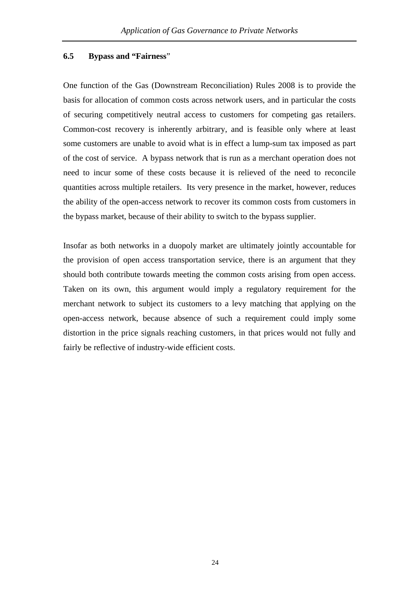#### **6.5 Bypass and "Fairness**"

One function of the Gas (Downstream Reconciliation) Rules 2008 is to provide the basis for allocation of common costs across network users, and in particular the costs of securing competitively neutral access to customers for competing gas retailers. Common-cost recovery is inherently arbitrary, and is feasible only where at least some customers are unable to avoid what is in effect a lump-sum tax imposed as part of the cost of service. A bypass network that is run as a merchant operation does not need to incur some of these costs because it is relieved of the need to reconcile quantities across multiple retailers. Its very presence in the market, however, reduces the ability of the open-access network to recover its common costs from customers in the bypass market, because of their ability to switch to the bypass supplier.

Insofar as both networks in a duopoly market are ultimately jointly accountable for the provision of open access transportation service, there is an argument that they should both contribute towards meeting the common costs arising from open access. Taken on its own, this argument would imply a regulatory requirement for the merchant network to subject its customers to a levy matching that applying on the open-access network, because absence of such a requirement could imply some distortion in the price signals reaching customers, in that prices would not fully and fairly be reflective of industry-wide efficient costs.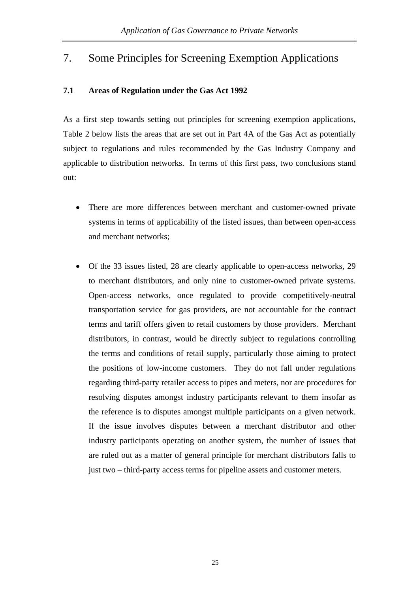# 7. Some Principles for Screening Exemption Applications

## **7.1 Areas of Regulation under the Gas Act 1992**

As a first step towards setting out principles for screening exemption applications, Table 2 below lists the areas that are set out in Part 4A of the Gas Act as potentially subject to regulations and rules recommended by the Gas Industry Company and applicable to distribution networks. In terms of this first pass, two conclusions stand out:

- There are more differences between merchant and customer-owned private systems in terms of applicability of the listed issues, than between open-access and merchant networks;
- Of the 33 issues listed, 28 are clearly applicable to open-access networks, 29 to merchant distributors, and only nine to customer-owned private systems. Open-access networks, once regulated to provide competitively-neutral transportation service for gas providers, are not accountable for the contract terms and tariff offers given to retail customers by those providers. Merchant distributors, in contrast, would be directly subject to regulations controlling the terms and conditions of retail supply, particularly those aiming to protect the positions of low-income customers. They do not fall under regulations regarding third-party retailer access to pipes and meters, nor are procedures for resolving disputes amongst industry participants relevant to them insofar as the reference is to disputes amongst multiple participants on a given network. If the issue involves disputes between a merchant distributor and other industry participants operating on another system, the number of issues that are ruled out as a matter of general principle for merchant distributors falls to just two – third-party access terms for pipeline assets and customer meters.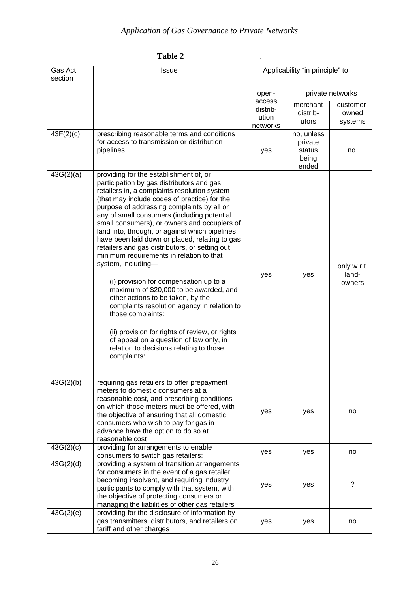| Table 2 |  |
|---------|--|
|         |  |

| Gas Act   | <b>Issue</b>                                                                                                                                                                                                                                                                                                                                                                                                                                                                                                                                                                                                                                                                                                                                                                                                                                                                                                 | Applicability "in principle" to: |                       |                                |
|-----------|--------------------------------------------------------------------------------------------------------------------------------------------------------------------------------------------------------------------------------------------------------------------------------------------------------------------------------------------------------------------------------------------------------------------------------------------------------------------------------------------------------------------------------------------------------------------------------------------------------------------------------------------------------------------------------------------------------------------------------------------------------------------------------------------------------------------------------------------------------------------------------------------------------------|----------------------------------|-----------------------|--------------------------------|
| section   |                                                                                                                                                                                                                                                                                                                                                                                                                                                                                                                                                                                                                                                                                                                                                                                                                                                                                                              |                                  |                       |                                |
|           |                                                                                                                                                                                                                                                                                                                                                                                                                                                                                                                                                                                                                                                                                                                                                                                                                                                                                                              | open-                            |                       | private networks               |
|           |                                                                                                                                                                                                                                                                                                                                                                                                                                                                                                                                                                                                                                                                                                                                                                                                                                                                                                              | access                           | merchant              | customer-                      |
|           |                                                                                                                                                                                                                                                                                                                                                                                                                                                                                                                                                                                                                                                                                                                                                                                                                                                                                                              | distrib-                         | distrib-              | owned                          |
|           |                                                                                                                                                                                                                                                                                                                                                                                                                                                                                                                                                                                                                                                                                                                                                                                                                                                                                                              | ution                            | utors                 | systems                        |
|           |                                                                                                                                                                                                                                                                                                                                                                                                                                                                                                                                                                                                                                                                                                                                                                                                                                                                                                              | networks                         |                       |                                |
| 43F(2)(c) | prescribing reasonable terms and conditions<br>for access to transmission or distribution                                                                                                                                                                                                                                                                                                                                                                                                                                                                                                                                                                                                                                                                                                                                                                                                                    |                                  | no, unless<br>private |                                |
|           | pipelines                                                                                                                                                                                                                                                                                                                                                                                                                                                                                                                                                                                                                                                                                                                                                                                                                                                                                                    | yes                              | status                | no.                            |
|           |                                                                                                                                                                                                                                                                                                                                                                                                                                                                                                                                                                                                                                                                                                                                                                                                                                                                                                              |                                  | being                 |                                |
|           |                                                                                                                                                                                                                                                                                                                                                                                                                                                                                                                                                                                                                                                                                                                                                                                                                                                                                                              |                                  | ended                 |                                |
| 43G(2)(a) | providing for the establishment of, or<br>participation by gas distributors and gas<br>retailers in, a complaints resolution system<br>(that may include codes of practice) for the<br>purpose of addressing complaints by all or<br>any of small consumers (including potential<br>small consumers), or owners and occupiers of<br>land into, through, or against which pipelines<br>have been laid down or placed, relating to gas<br>retailers and gas distributors, or setting out<br>minimum requirements in relation to that<br>system, including-<br>(i) provision for compensation up to a<br>maximum of \$20,000 to be awarded, and<br>other actions to be taken, by the<br>complaints resolution agency in relation to<br>those complaints:<br>(ii) provision for rights of review, or rights<br>of appeal on a question of law only, in<br>relation to decisions relating to those<br>complaints: | yes                              | yes                   | only w.r.t.<br>land-<br>owners |
| 43G(2)(b) | requiring gas retailers to offer prepayment<br>meters to domestic consumers at a<br>reasonable cost, and prescribing conditions<br>on which those meters must be offered, with<br>the objective of ensuring that all domestic<br>consumers who wish to pay for gas in<br>advance have the option to do so at<br>reasonable cost                                                                                                                                                                                                                                                                                                                                                                                                                                                                                                                                                                              | yes                              | yes                   | no                             |
| 43G(2)(c) | providing for arrangements to enable                                                                                                                                                                                                                                                                                                                                                                                                                                                                                                                                                                                                                                                                                                                                                                                                                                                                         | yes                              | yes                   | no                             |
| 43G(2)(d) | consumers to switch gas retailers:<br>providing a system of transition arrangements                                                                                                                                                                                                                                                                                                                                                                                                                                                                                                                                                                                                                                                                                                                                                                                                                          |                                  |                       |                                |
|           | for consumers in the event of a gas retailer<br>becoming insolvent, and requiring industry<br>participants to comply with that system, with<br>the objective of protecting consumers or                                                                                                                                                                                                                                                                                                                                                                                                                                                                                                                                                                                                                                                                                                                      | yes                              | yes                   | ?                              |
|           | managing the liabilities of other gas retailers                                                                                                                                                                                                                                                                                                                                                                                                                                                                                                                                                                                                                                                                                                                                                                                                                                                              |                                  |                       |                                |
| 43G(2)(e) | providing for the disclosure of information by<br>gas transmitters, distributors, and retailers on                                                                                                                                                                                                                                                                                                                                                                                                                                                                                                                                                                                                                                                                                                                                                                                                           |                                  |                       |                                |
|           | tariff and other charges                                                                                                                                                                                                                                                                                                                                                                                                                                                                                                                                                                                                                                                                                                                                                                                                                                                                                     | yes                              | yes                   | no                             |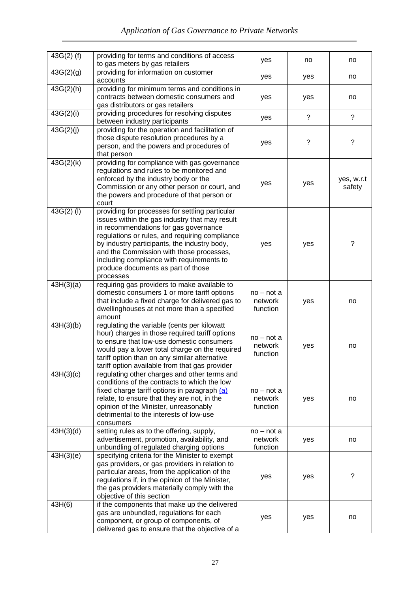| $43G(2)$ (f) | providing for terms and conditions of access<br>to gas meters by gas retailers                                                                                                                                                                                                                                                                                                           | yes                                 | no             | no                   |
|--------------|------------------------------------------------------------------------------------------------------------------------------------------------------------------------------------------------------------------------------------------------------------------------------------------------------------------------------------------------------------------------------------------|-------------------------------------|----------------|----------------------|
| 43G(2)(g)    | providing for information on customer<br>accounts                                                                                                                                                                                                                                                                                                                                        | yes                                 | yes            | no                   |
| 43G(2)(h)    | providing for minimum terms and conditions in<br>contracts between domestic consumers and<br>gas distributors or gas retailers                                                                                                                                                                                                                                                           | yes                                 | yes            | no                   |
| 43G(2)(i)    | providing procedures for resolving disputes<br>between industry participants                                                                                                                                                                                                                                                                                                             | yes                                 | $\overline{?}$ | $\tilde{?}$          |
| 43G(2)(j)    | providing for the operation and facilitation of<br>those dispute resolution procedures by a<br>person, and the powers and procedures of<br>that person                                                                                                                                                                                                                                   | yes                                 | ?              | ?                    |
| 43G(2)(k)    | providing for compliance with gas governance<br>regulations and rules to be monitored and<br>enforced by the industry body or the<br>Commission or any other person or court, and<br>the powers and procedure of that person or<br>court                                                                                                                                                 | yes                                 | yes            | yes, w.r.t<br>safety |
| $43G(2)$ (I) | providing for processes for settling particular<br>issues within the gas industry that may result<br>in recommendations for gas governance<br>regulations or rules, and requiring compliance<br>by industry participants, the industry body,<br>and the Commission with those processes,<br>including compliance with requirements to<br>produce documents as part of those<br>processes | yes                                 | yes            | ?                    |
| 43H(3)(a)    | requiring gas providers to make available to<br>domestic consumers 1 or more tariff options<br>that include a fixed charge for delivered gas to<br>dwellinghouses at not more than a specified<br>amount                                                                                                                                                                                 | $no - not a$<br>network<br>function | yes            | no                   |
| 43H(3)(b)    | regulating the variable (cents per kilowatt<br>hour) charges in those required tariff options<br>to ensure that low-use domestic consumers<br>would pay a lower total charge on the required<br>tariff option than on any similar alternative<br>tariff option available from that gas provider                                                                                          | $no$ – not a<br>network<br>function | yes            | no                   |
| 43H(3)(c)    | regulating other charges and other terms and<br>conditions of the contracts to which the low<br>fixed charge tariff options in paragraph (a)<br>relate, to ensure that they are not, in the<br>opinion of the Minister, unreasonably<br>detrimental to the interests of low-use<br>consumers                                                                                             | $no$ – not a<br>network<br>function | yes            | no                   |
| 43H(3)(d)    | setting rules as to the offering, supply,<br>advertisement, promotion, availability, and<br>unbundling of regulated charging options                                                                                                                                                                                                                                                     | $no - not a$<br>network<br>function | yes            | no                   |
| 43H(3)(e)    | specifying criteria for the Minister to exempt<br>gas providers, or gas providers in relation to<br>particular areas, from the application of the<br>regulations if, in the opinion of the Minister,<br>the gas providers materially comply with the<br>objective of this section                                                                                                        | yes                                 | yes            | ?                    |
| 43H(6)       | if the components that make up the delivered<br>gas are unbundled, regulations for each<br>component, or group of components, of<br>delivered gas to ensure that the objective of a                                                                                                                                                                                                      | yes                                 | yes            | no                   |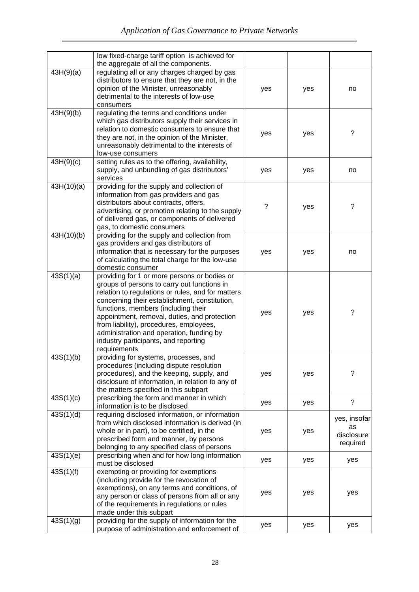|            | low fixed-charge tariff option is achieved for<br>the aggregate of all the components.                                                                                                                                                                                                                                                                                                                                                  |     |     |                                              |
|------------|-----------------------------------------------------------------------------------------------------------------------------------------------------------------------------------------------------------------------------------------------------------------------------------------------------------------------------------------------------------------------------------------------------------------------------------------|-----|-----|----------------------------------------------|
| 43H(9)(a)  | regulating all or any charges charged by gas<br>distributors to ensure that they are not, in the<br>opinion of the Minister, unreasonably<br>detrimental to the interests of low-use<br>consumers                                                                                                                                                                                                                                       | yes | yes | no                                           |
| 43H(9)(b)  | regulating the terms and conditions under<br>which gas distributors supply their services in<br>relation to domestic consumers to ensure that<br>they are not, in the opinion of the Minister,<br>unreasonably detrimental to the interests of<br>low-use consumers                                                                                                                                                                     | yes | yes | ?                                            |
| 43H(9)(c)  | setting rules as to the offering, availability,<br>supply, and unbundling of gas distributors'<br>services                                                                                                                                                                                                                                                                                                                              | yes | yes | no                                           |
| 43H(10)(a) | providing for the supply and collection of<br>information from gas providers and gas<br>distributors about contracts, offers,<br>advertising, or promotion relating to the supply<br>of delivered gas, or components of delivered<br>gas, to domestic consumers                                                                                                                                                                         | ?   | yes | ?                                            |
| 43H(10)(b) | providing for the supply and collection from<br>gas providers and gas distributors of<br>information that is necessary for the purposes<br>of calculating the total charge for the low-use<br>domestic consumer                                                                                                                                                                                                                         | yes | yes | no                                           |
| 43S(1)(a)  | providing for 1 or more persons or bodies or<br>groups of persons to carry out functions in<br>relation to regulations or rules, and for matters<br>concerning their establishment, constitution,<br>functions, members (including their<br>appointment, removal, duties, and protection<br>from liability), procedures, employees,<br>administration and operation, funding by<br>industry participants, and reporting<br>requirements | yes | yes | ?                                            |
| 43S(1)(b)  | providing for systems, processes, and<br>procedures (including dispute resolution<br>procedures), and the keeping, supply, and<br>disclosure of information, in relation to any of<br>the matters specified in this subpart                                                                                                                                                                                                             | yes | yes | ?                                            |
| 43S(1)(c)  | prescribing the form and manner in which<br>information is to be disclosed                                                                                                                                                                                                                                                                                                                                                              | yes | yes | $\tilde{?}$                                  |
| 43S(1)(d)  | requiring disclosed information, or information<br>from which disclosed information is derived (in<br>whole or in part), to be certified, in the<br>prescribed form and manner, by persons<br>belonging to any specified class of persons                                                                                                                                                                                               | yes | yes | yes, insofar<br>as<br>disclosure<br>required |
| 43S(1)(e)  | prescribing when and for how long information<br>must be disclosed                                                                                                                                                                                                                                                                                                                                                                      | yes | yes | yes                                          |
| 43S(1)(f)  | exempting or providing for exemptions<br>(including provide for the revocation of<br>exemptions), on any terms and conditions, of<br>any person or class of persons from all or any<br>of the requirements in regulations or rules<br>made under this subpart                                                                                                                                                                           | yes | yes | yes                                          |
| 43S(1)(g)  | providing for the supply of information for the<br>purpose of administration and enforcement of                                                                                                                                                                                                                                                                                                                                         | yes | yes | yes                                          |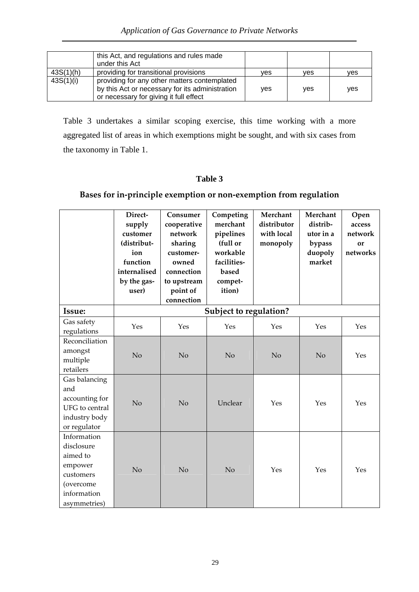|           | this Act, and regulations and rules made<br>under this Act                                                                                |     |     |            |
|-----------|-------------------------------------------------------------------------------------------------------------------------------------------|-----|-----|------------|
| 43S(1)(h) | providing for transitional provisions                                                                                                     | ves | ves | ves        |
| 43S(1)(i) | providing for any other matters contemplated<br>by this Act or necessary for its administration<br>or necessary for giving it full effect | yes | ves | <b>ves</b> |

Table 3 undertakes a similar scoping exercise, this time working with a more aggregated list of areas in which exemptions might be sought, and with six cases from the taxonomy in Table 1.

# **Table 3**

# **Bases for in‐principle exemption or non‐exemption from regulation**

|                                                                                                           | Direct-<br>supply<br>customer<br>(distribut-<br>ion<br>function<br>internalised<br>by the gas-<br>user) | Consumer<br>cooperative<br>network<br>sharing<br>customer-<br>owned<br>connection<br>to upstream<br>point of<br>connection | Competing<br>merchant<br>pipelines<br>(full or<br>workable<br>facilities-<br>based<br>compet-<br>ition) | Merchant<br>distributor<br>with local<br>monopoly | Merchant<br>distrib-<br>utor in a<br>bypass<br>duopoly<br>market | Open<br>access<br>network<br>or<br>networks |
|-----------------------------------------------------------------------------------------------------------|---------------------------------------------------------------------------------------------------------|----------------------------------------------------------------------------------------------------------------------------|---------------------------------------------------------------------------------------------------------|---------------------------------------------------|------------------------------------------------------------------|---------------------------------------------|
| Issue:                                                                                                    |                                                                                                         |                                                                                                                            | Subject to regulation?                                                                                  |                                                   |                                                                  |                                             |
| Gas safety<br>regulations                                                                                 | Yes                                                                                                     | Yes                                                                                                                        | Yes                                                                                                     | Yes                                               | Yes                                                              | Yes                                         |
| Reconciliation<br>amongst<br>multiple<br>retailers                                                        | No                                                                                                      | No                                                                                                                         | No                                                                                                      | N <sub>o</sub>                                    | No                                                               | Yes                                         |
| Gas balancing<br>and<br>accounting for<br>UFG to central<br>industry body<br>or regulator                 | N <sub>o</sub>                                                                                          | N <sub>o</sub>                                                                                                             | Unclear                                                                                                 | Yes                                               | Yes                                                              | Yes                                         |
| Information<br>disclosure<br>aimed to<br>empower<br>customers<br>(overcome<br>information<br>asymmetries) | No                                                                                                      | No                                                                                                                         | No                                                                                                      | Yes                                               | Yes                                                              | Yes                                         |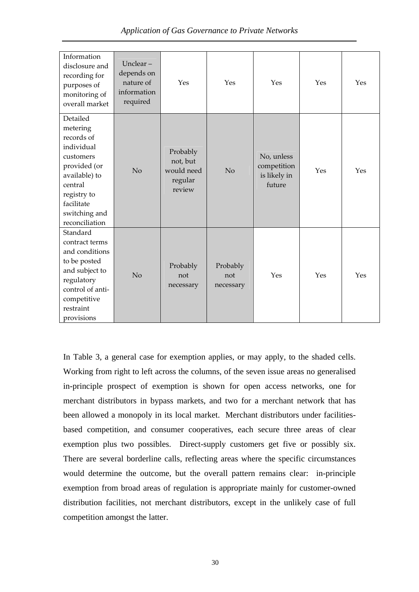| Information<br>disclosure and<br>recording for<br>purposes of<br>monitoring of<br>overall market                                                                          | Unclear $-$<br>depends on<br>nature of<br>information<br>required | Yes                                                     | Yes                          | Yes                                                 | Yes | Yes |
|---------------------------------------------------------------------------------------------------------------------------------------------------------------------------|-------------------------------------------------------------------|---------------------------------------------------------|------------------------------|-----------------------------------------------------|-----|-----|
| Detailed<br>metering<br>records of<br>individual<br>customers<br>provided (or<br>available) to<br>central<br>registry to<br>facilitate<br>switching and<br>reconciliation | No                                                                | Probably<br>not, but<br>would need<br>regular<br>review | No                           | No, unless<br>competition<br>is likely in<br>future | Yes | Yes |
| Standard<br>contract terms<br>and conditions<br>to be posted<br>and subject to<br>regulatory<br>control of anti-<br>competitive<br>restraint<br>provisions                | No                                                                | Probably<br>not<br>necessary                            | Probably<br>not<br>necessary | Yes                                                 | Yes | Yes |

In Table 3, a general case for exemption applies, or may apply, to the shaded cells. Working from right to left across the columns, of the seven issue areas no generalised in-principle prospect of exemption is shown for open access networks, one for merchant distributors in bypass markets, and two for a merchant network that has been allowed a monopoly in its local market. Merchant distributors under facilitiesbased competition, and consumer cooperatives, each secure three areas of clear exemption plus two possibles. Direct-supply customers get five or possibly six. There are several borderline calls, reflecting areas where the specific circumstances would determine the outcome, but the overall pattern remains clear: in-principle exemption from broad areas of regulation is appropriate mainly for customer-owned distribution facilities, not merchant distributors, except in the unlikely case of full competition amongst the latter.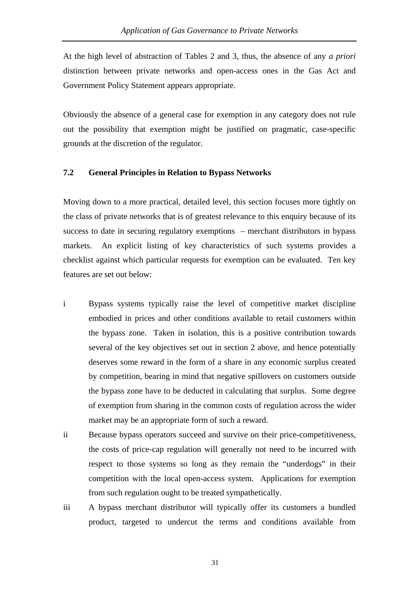At the high level of abstraction of Tables 2 and 3, thus, the absence of any *a priori* distinction between private networks and open-access ones in the Gas Act and Government Policy Statement appears appropriate.

Obviously the absence of a general case for exemption in any category does not rule out the possibility that exemption might be justified on pragmatic, case-specific grounds at the discretion of the regulator.

#### **7.2 General Principles in Relation to Bypass Networks**

Moving down to a more practical, detailed level, this section focuses more tightly on the class of private networks that is of greatest relevance to this enquiry because of its success to date in securing regulatory exemptions – merchant distributors in bypass markets. An explicit listing of key characteristics of such systems provides a checklist against which particular requests for exemption can be evaluated. Ten key features are set out below:

- i Bypass systems typically raise the level of competitive market discipline embodied in prices and other conditions available to retail customers within the bypass zone. Taken in isolation, this is a positive contribution towards several of the key objectives set out in section 2 above, and hence potentially deserves some reward in the form of a share in any economic surplus created by competition, bearing in mind that negative spillovers on customers outside the bypass zone have to be deducted in calculating that surplus. Some degree of exemption from sharing in the common costs of regulation across the wider market may be an appropriate form of such a reward.
- ii Because bypass operators succeed and survive on their price-competitiveness, the costs of price-cap regulation will generally not need to be incurred with respect to those systems so long as they remain the "underdogs" in their competition with the local open-access system. Applications for exemption from such regulation ought to be treated sympathetically.
- iii A bypass merchant distributor will typically offer its customers a bundled product, targeted to undercut the terms and conditions available from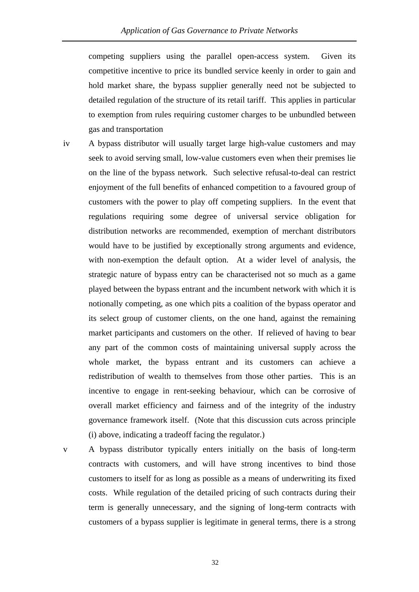competing suppliers using the parallel open-access system. Given its competitive incentive to price its bundled service keenly in order to gain and hold market share, the bypass supplier generally need not be subjected to detailed regulation of the structure of its retail tariff. This applies in particular to exemption from rules requiring customer charges to be unbundled between gas and transportation

- iv A bypass distributor will usually target large high-value customers and may seek to avoid serving small, low-value customers even when their premises lie on the line of the bypass network. Such selective refusal-to-deal can restrict enjoyment of the full benefits of enhanced competition to a favoured group of customers with the power to play off competing suppliers. In the event that regulations requiring some degree of universal service obligation for distribution networks are recommended, exemption of merchant distributors would have to be justified by exceptionally strong arguments and evidence, with non-exemption the default option. At a wider level of analysis, the strategic nature of bypass entry can be characterised not so much as a game played between the bypass entrant and the incumbent network with which it is notionally competing, as one which pits a coalition of the bypass operator and its select group of customer clients, on the one hand, against the remaining market participants and customers on the other. If relieved of having to bear any part of the common costs of maintaining universal supply across the whole market, the bypass entrant and its customers can achieve a redistribution of wealth to themselves from those other parties. This is an incentive to engage in rent-seeking behaviour, which can be corrosive of overall market efficiency and fairness and of the integrity of the industry governance framework itself. (Note that this discussion cuts across principle (i) above, indicating a tradeoff facing the regulator.)
- 

v A bypass distributor typically enters initially on the basis of long-term contracts with customers, and will have strong incentives to bind those customers to itself for as long as possible as a means of underwriting its fixed costs. While regulation of the detailed pricing of such contracts during their term is generally unnecessary, and the signing of long-term contracts with customers of a bypass supplier is legitimate in general terms, there is a strong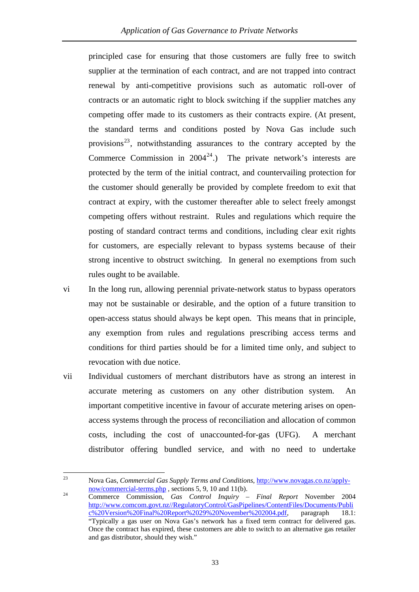principled case for ensuring that those customers are fully free to switch supplier at the termination of each contract, and are not trapped into contract renewal by anti-competitive provisions such as automatic roll-over of contracts or an automatic right to block switching if the supplier matches any competing offer made to its customers as their contracts expire. (At present, the standard terms and conditions posted by Nova Gas include such provisions $^{23}$ , notwithstanding assurances to the contrary accepted by the Commerce Commission in  $2004^{24}$ .) The private network's interests are protected by the term of the initial contract, and countervailing protection for the customer should generally be provided by complete freedom to exit that contract at expiry, with the customer thereafter able to select freely amongst competing offers without restraint. Rules and regulations which require the posting of standard contract terms and conditions, including clear exit rights for customers, are especially relevant to bypass systems because of their strong incentive to obstruct switching. In general no exemptions from such rules ought to be available.

- vi In the long run, allowing perennial private-network status to bypass operators may not be sustainable or desirable, and the option of a future transition to open-access status should always be kept open. This means that in principle, any exemption from rules and regulations prescribing access terms and conditions for third parties should be for a limited time only, and subject to revocation with due notice.
- vii Individual customers of merchant distributors have as strong an interest in accurate metering as customers on any other distribution system. An important competitive incentive in favour of accurate metering arises on openaccess systems through the process of reconciliation and allocation of common costs, including the cost of unaccounted-for-gas (UFG). A merchant distributor offering bundled service, and with no need to undertake

<sup>23</sup> Nova Gas, *Commercial Gas Supply Terms and Conditions*,  $\frac{http://www.novagas.co.nz/apply-now/commercial-terms.php}{http://www.novagas.co.nz/apply-$ 

<sup>&</sup>lt;sup>24</sup> Commerce Commission, *Gas Control Inquiry – Final Report* November 2004 [http://www.comcom.govt.nz//RegulatoryControl/GasPipelines/ContentFiles/Documents/Publi](http://www.comcom.govt.nz//RegulatoryControl/GasPipelines/ContentFiles/Documents/Public%20Version%20Final%20Report%2029%20November%202004.pdf)  $\frac{1}{\sqrt{20 \text{Version}\%20 \text{Final}\%20 \text{Report}\%2029\%20 \text{November}\%202004.}$  paragraph 18.1: "Typically a gas user on Nova Gas's network has a fixed term contract for delivered gas. Once the contract has expired, these customers are able to switch to an alternative gas retailer and gas distributor, should they wish."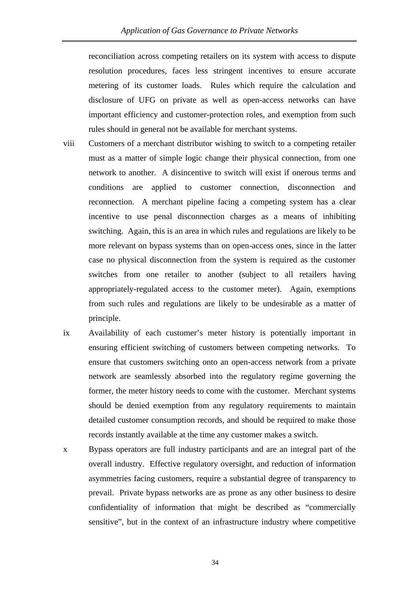reconciliation across competing retailers on its system with access to dispute resolution procedures, faces less stringent incentives to ensure accurate metering of its customer loads. Rules which require the calculation and disclosure of UFG on private as well as open-access networks can have important efficiency and customer-protection roles, and exemption from such rules should in general not be available for merchant systems.

- viii Customers of a merchant distributor wishing to switch to a competing retailer must as a matter of simple logic change their physical connection, from one network to another. A disincentive to switch will exist if onerous terms and conditions are applied to customer connection, disconnection and reconnection. A merchant pipeline facing a competing system has a clear incentive to use penal disconnection charges as a means of inhibiting switching. Again, this is an area in which rules and regulations are likely to be more relevant on bypass systems than on open-access ones, since in the latter case no physical disconnection from the system is required as the customer switches from one retailer to another (subject to all retailers having appropriately-regulated access to the customer meter). Again, exemptions from such rules and regulations are likely to be undesirable as a matter of principle.
- ix Availability of each customer's meter history is potentially important in ensuring efficient switching of customers between competing networks. To ensure that customers switching onto an open-access network from a private network are seamlessly absorbed into the regulatory regime governing the former, the meter history needs to come with the customer. Merchant systems should be denied exemption from any regulatory requirements to maintain detailed customer consumption records, and should be required to make those records instantly available at the time any customer makes a switch.
- x Bypass operators are full industry participants and are an integral part of the overall industry. Effective regulatory oversight, and reduction of information asymmetries facing customers, require a substantial degree of transparency to prevail. Private bypass networks are as prone as any other business to desire confidentiality of information that might be described as "commercially sensitive", but in the context of an infrastructure industry where competitive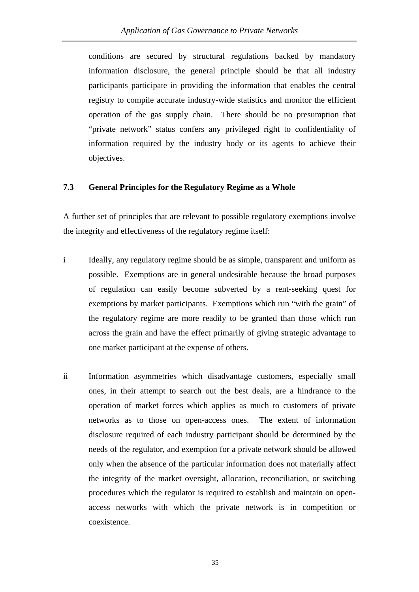conditions are secured by structural regulations backed by mandatory information disclosure, the general principle should be that all industry participants participate in providing the information that enables the central registry to compile accurate industry-wide statistics and monitor the efficient operation of the gas supply chain. There should be no presumption that "private network" status confers any privileged right to confidentiality of information required by the industry body or its agents to achieve their objectives.

#### **7.3 General Principles for the Regulatory Regime as a Whole**

A further set of principles that are relevant to possible regulatory exemptions involve the integrity and effectiveness of the regulatory regime itself:

- i Ideally, any regulatory regime should be as simple, transparent and uniform as possible. Exemptions are in general undesirable because the broad purposes of regulation can easily become subverted by a rent-seeking quest for exemptions by market participants. Exemptions which run "with the grain" of the regulatory regime are more readily to be granted than those which run across the grain and have the effect primarily of giving strategic advantage to one market participant at the expense of others.
- ii Information asymmetries which disadvantage customers, especially small ones, in their attempt to search out the best deals, are a hindrance to the operation of market forces which applies as much to customers of private networks as to those on open-access ones. The extent of information disclosure required of each industry participant should be determined by the needs of the regulator, and exemption for a private network should be allowed only when the absence of the particular information does not materially affect the integrity of the market oversight, allocation, reconciliation, or switching procedures which the regulator is required to establish and maintain on openaccess networks with which the private network is in competition or coexistence.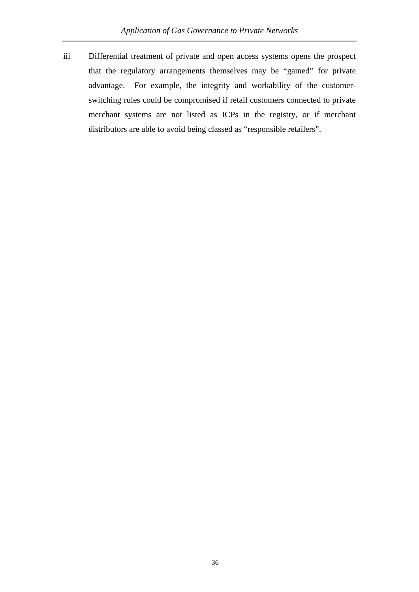iii Differential treatment of private and open access systems opens the prospect that the regulatory arrangements themselves may be "gamed" for private advantage. For example, the integrity and workability of the customerswitching rules could be compromised if retail customers connected to private merchant systems are not listed as ICPs in the registry, or if merchant distributors are able to avoid being classed as "responsible retailers".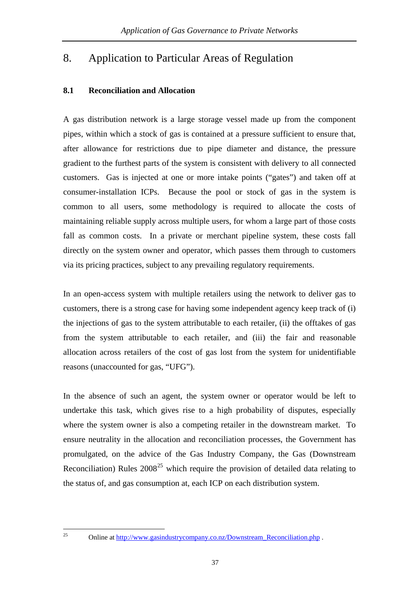# <span id="page-40-0"></span>8. Application to Particular Areas of Regulation

#### **8.1 Reconciliation and Allocation**

A gas distribution network is a large storage vessel made up from the component pipes, within which a stock of gas is contained at a pressure sufficient to ensure that, after allowance for restrictions due to pipe diameter and distance, the pressure gradient to the furthest parts of the system is consistent with delivery to all connected customers. Gas is injected at one or more intake points ("gates") and taken off at consumer-installation ICPs. Because the pool or stock of gas in the system is common to all users, some methodology is required to allocate the costs of maintaining reliable supply across multiple users, for whom a large part of those costs fall as common costs. In a private or merchant pipeline system, these costs fall directly on the system owner and operator, which passes them through to customers via its pricing practices, subject to any prevailing regulatory requirements.

In an open-access system with multiple retailers using the network to deliver gas to customers, there is a strong case for having some independent agency keep track of (i) the injections of gas to the system attributable to each retailer, (ii) the offtakes of gas from the system attributable to each retailer, and (iii) the fair and reasonable allocation across retailers of the cost of gas lost from the system for unidentifiable reasons (unaccounted for gas, "UFG").

In the absence of such an agent, the system owner or operator would be left to undertake this task, which gives rise to a high probability of disputes, especially where the system owner is also a competing retailer in the downstream market. To ensure neutrality in the allocation and reconciliation processes, the Government has promulgated, on the advice of the Gas Industry Company, the Gas (Downstream Reconciliation) Rules  $2008^{25}$  $2008^{25}$  $2008^{25}$  which require the provision of detailed data relating to the status of, and gas consumption at, each ICP on each distribution system.

 $25\,$ 

Online at http://www.gasindustrycompany.co.nz/Downstream\_Reconciliation.php.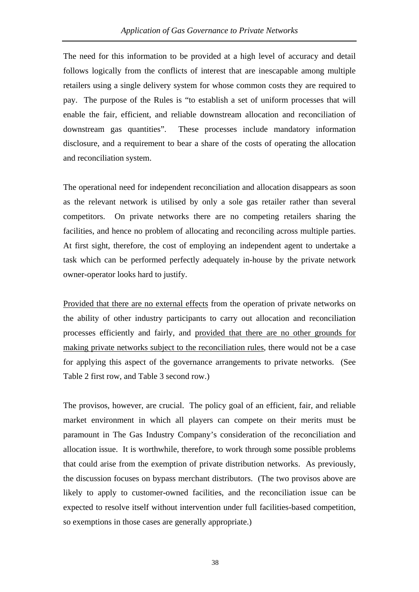The need for this information to be provided at a high level of accuracy and detail follows logically from the conflicts of interest that are inescapable among multiple retailers using a single delivery system for whose common costs they are required to pay. The purpose of the Rules is "to establish a set of uniform processes that will enable the fair, efficient, and reliable downstream allocation and reconciliation of downstream gas quantities". These processes include mandatory information disclosure, and a requirement to bear a share of the costs of operating the allocation and reconciliation system.

The operational need for independent reconciliation and allocation disappears as soon as the relevant network is utilised by only a sole gas retailer rather than several competitors. On private networks there are no competing retailers sharing the facilities, and hence no problem of allocating and reconciling across multiple parties. At first sight, therefore, the cost of employing an independent agent to undertake a task which can be performed perfectly adequately in-house by the private network owner-operator looks hard to justify.

Provided that there are no external effects from the operation of private networks on the ability of other industry participants to carry out allocation and reconciliation processes efficiently and fairly, and provided that there are no other grounds for making private networks subject to the reconciliation rules, there would not be a case for applying this aspect of the governance arrangements to private networks. (See Table 2 first row, and Table 3 second row.)

The provisos, however, are crucial. The policy goal of an efficient, fair, and reliable market environment in which all players can compete on their merits must be paramount in The Gas Industry Company's consideration of the reconciliation and allocation issue. It is worthwhile, therefore, to work through some possible problems that could arise from the exemption of private distribution networks. As previously, the discussion focuses on bypass merchant distributors. (The two provisos above are likely to apply to customer-owned facilities, and the reconciliation issue can be expected to resolve itself without intervention under full facilities-based competition, so exemptions in those cases are generally appropriate.)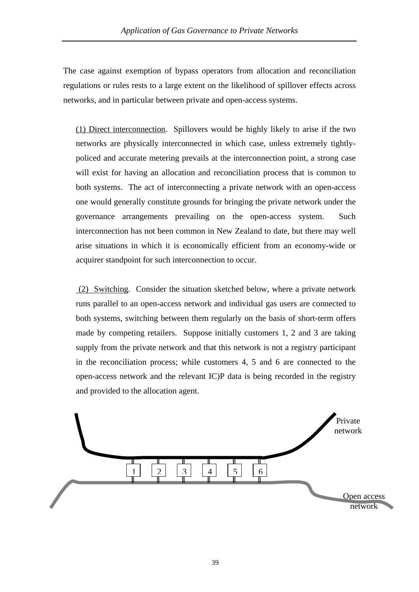The case against exemption of bypass operators from allocation and reconciliation regulations or rules rests to a large extent on the likelihood of spillover effects across networks, and in particular between private and open-access systems.

(1) Direct interconnection. Spillovers would be highly likely to arise if the two networks are physically interconnected in which case, unless extremely tightlypoliced and accurate metering prevails at the interconnection point, a strong case will exist for having an allocation and reconciliation process that is common to both systems. The act of interconnecting a private network with an open-access one would generally constitute grounds for bringing the private network under the governance arrangements prevailing on the open-access system. Such interconnection has not been common in New Zealand to date, but there may well arise situations in which it is economically efficient from an economy-wide or acquirer standpoint for such interconnection to occur.

 (2) Switching. Consider the situation sketched below, where a private network runs parallel to an open-access network and individual gas users are connected to both systems, switching between them regularly on the basis of short-term offers made by competing retailers. Suppose initially customers 1, 2 and 3 are taking supply from the private network and that this network is not a registry participant in the reconciliation process; while customers 4, 5 and 6 are connected to the open-access network and the relevant IC)P data is being recorded in the registry and provided to the allocation agent.

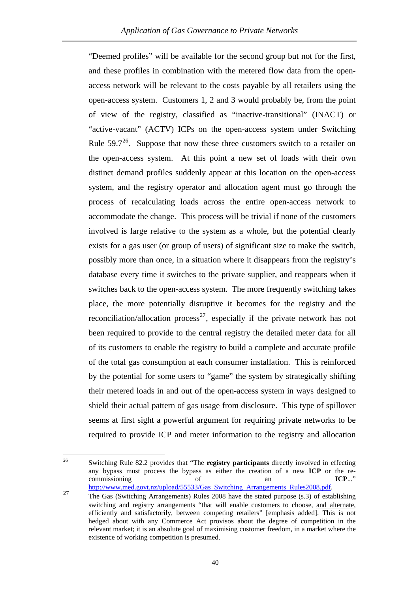<span id="page-43-0"></span>"Deemed profiles" will be available for the second group but not for the first, and these profiles in combination with the metered flow data from the openaccess network will be relevant to the costs payable by all retailers using the open-access system. Customers 1, 2 and 3 would probably be, from the point of view of the registry, classified as "inactive-transitional" (INACT) or "active-vacant" (ACTV) ICPs on the open-access system under Switching Rule  $59.7^{26}$  $59.7^{26}$  $59.7^{26}$ . Suppose that now these three customers switch to a retailer on the open-access system. At this point a new set of loads with their own distinct demand profiles suddenly appear at this location on the open-access system, and the registry operator and allocation agent must go through the process of recalculating loads across the entire open-access network to accommodate the change. This process will be trivial if none of the customers involved is large relative to the system as a whole, but the potential clearly exists for a gas user (or group of users) of significant size to make the switch, possibly more than once, in a situation where it disappears from the registry's database every time it switches to the private supplier, and reappears when it switches back to the open-access system. The more frequently switching takes place, the more potentially disruptive it becomes for the registry and the reconciliation/allocation process<sup>[27](#page-43-0)</sup>, especially if the private network has not been required to provide to the central registry the detailed meter data for all of its customers to enable the registry to build a complete and accurate profile of the total gas consumption at each consumer installation. This is reinforced by the potential for some users to "game" the system by strategically shifting their metered loads in and out of the open-access system in ways designed to shield their actual pattern of gas usage from disclosure. This type of spillover seems at first sight a powerful argument for requiring private networks to be required to provide ICP and meter information to the registry and allocation

 $26$ 26 Switching Rule 82.2 provides that "The **registry participants** directly involved in effecting any bypass must process the bypass as either the creation of a new **ICP** or the recommissioning of an **ICP**..."

[http://www.med.govt.nz/upload/55533/Gas\\_Switching\\_Arrangements\\_Rules2008.pdf](http://www.med.govt.nz/upload/55533/Gas_Switching_Arrangements_Rules2008.pdf).<br>
27 The Gas (Switching Arrangements) Rules 2008 have the stated purpose (s.3) of establishing switching and registry arrangements "that will enable customers to choose, and alternate, efficiently and satisfactorily, between competing retailers" [emphasis added]. This is not hedged about with any Commerce Act provisos about the degree of competition in the relevant market; it is an absolute goal of maximising customer freedom, in a market where the existence of working competition is presumed.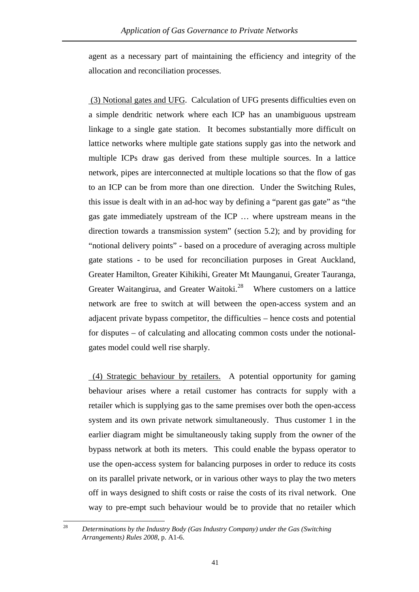<span id="page-44-0"></span>agent as a necessary part of maintaining the efficiency and integrity of the allocation and reconciliation processes.

 (3) Notional gates and UFG. Calculation of UFG presents difficulties even on a simple dendritic network where each ICP has an unambiguous upstream linkage to a single gate station. It becomes substantially more difficult on lattice networks where multiple gate stations supply gas into the network and multiple ICPs draw gas derived from these multiple sources. In a lattice network, pipes are interconnected at multiple locations so that the flow of gas to an ICP can be from more than one direction. Under the Switching Rules, this issue is dealt with in an ad-hoc way by defining a "parent gas gate" as "the gas gate immediately upstream of the ICP … where upstream means in the direction towards a transmission system" (section 5.2); and by providing for "notional delivery points" - based on a procedure of averaging across multiple gate stations - to be used for reconciliation purposes in Great Auckland, Greater Hamilton, Greater Kihikihi, Greater Mt Maunganui, Greater Tauranga, Greater Waitangirua, and Greater Waitoki.<sup>[28](#page-44-0)</sup> Where customers on a lattice network are free to switch at will between the open-access system and an adjacent private bypass competitor, the difficulties – hence costs and potential for disputes – of calculating and allocating common costs under the notionalgates model could well rise sharply.

 (4) Strategic behaviour by retailers. A potential opportunity for gaming behaviour arises where a retail customer has contracts for supply with a retailer which is supplying gas to the same premises over both the open-access system and its own private network simultaneously. Thus customer 1 in the earlier diagram might be simultaneously taking supply from the owner of the bypass network at both its meters. This could enable the bypass operator to use the open-access system for balancing purposes in order to reduce its costs on its parallel private network, or in various other ways to play the two meters off in ways designed to shift costs or raise the costs of its rival network. One way to pre-empt such behaviour would be to provide that no retailer which

 $\sqrt{28}$ 28 *Determinations by the Industry Body (Gas Industry Company) under the Gas (Switching Arrangements) Rules 2008*, p. A1-6.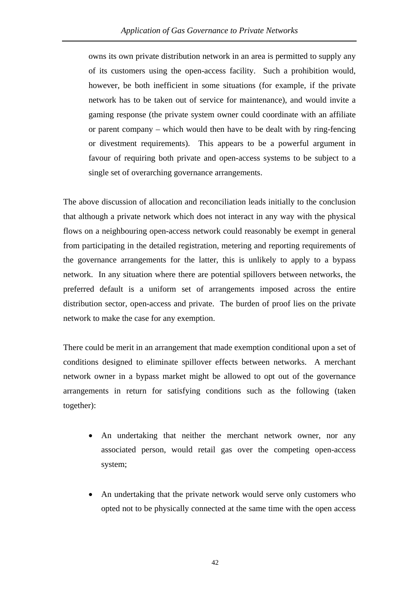owns its own private distribution network in an area is permitted to supply any of its customers using the open-access facility. Such a prohibition would, however, be both inefficient in some situations (for example, if the private network has to be taken out of service for maintenance), and would invite a gaming response (the private system owner could coordinate with an affiliate or parent company – which would then have to be dealt with by ring-fencing or divestment requirements). This appears to be a powerful argument in favour of requiring both private and open-access systems to be subject to a single set of overarching governance arrangements.

The above discussion of allocation and reconciliation leads initially to the conclusion that although a private network which does not interact in any way with the physical flows on a neighbouring open-access network could reasonably be exempt in general from participating in the detailed registration, metering and reporting requirements of the governance arrangements for the latter, this is unlikely to apply to a bypass network. In any situation where there are potential spillovers between networks, the preferred default is a uniform set of arrangements imposed across the entire distribution sector, open-access and private. The burden of proof lies on the private network to make the case for any exemption.

There could be merit in an arrangement that made exemption conditional upon a set of conditions designed to eliminate spillover effects between networks. A merchant network owner in a bypass market might be allowed to opt out of the governance arrangements in return for satisfying conditions such as the following (taken together):

- An undertaking that neither the merchant network owner, nor any associated person, would retail gas over the competing open-access system;
- An undertaking that the private network would serve only customers who opted not to be physically connected at the same time with the open access

42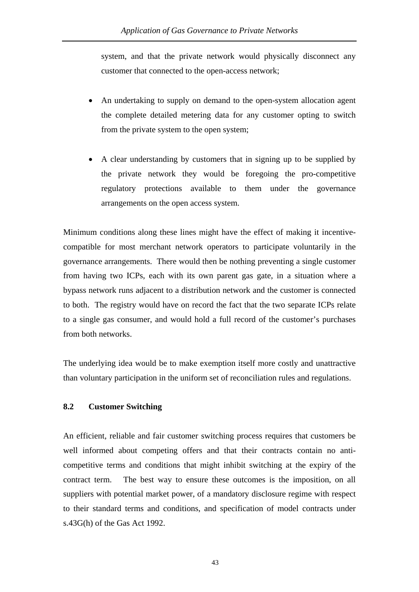system, and that the private network would physically disconnect any customer that connected to the open-access network;

- An undertaking to supply on demand to the open-system allocation agent the complete detailed metering data for any customer opting to switch from the private system to the open system;
- A clear understanding by customers that in signing up to be supplied by the private network they would be foregoing the pro-competitive regulatory protections available to them under the governance arrangements on the open access system.

Minimum conditions along these lines might have the effect of making it incentivecompatible for most merchant network operators to participate voluntarily in the governance arrangements. There would then be nothing preventing a single customer from having two ICPs, each with its own parent gas gate, in a situation where a bypass network runs adjacent to a distribution network and the customer is connected to both. The registry would have on record the fact that the two separate ICPs relate to a single gas consumer, and would hold a full record of the customer's purchases from both networks.

The underlying idea would be to make exemption itself more costly and unattractive than voluntary participation in the uniform set of reconciliation rules and regulations.

#### **8.2 Customer Switching**

An efficient, reliable and fair customer switching process requires that customers be well informed about competing offers and that their contracts contain no anticompetitive terms and conditions that might inhibit switching at the expiry of the contract term. The best way to ensure these outcomes is the imposition, on all suppliers with potential market power, of a mandatory disclosure regime with respect to their standard terms and conditions, and specification of model contracts under s.43G(h) of the Gas Act 1992.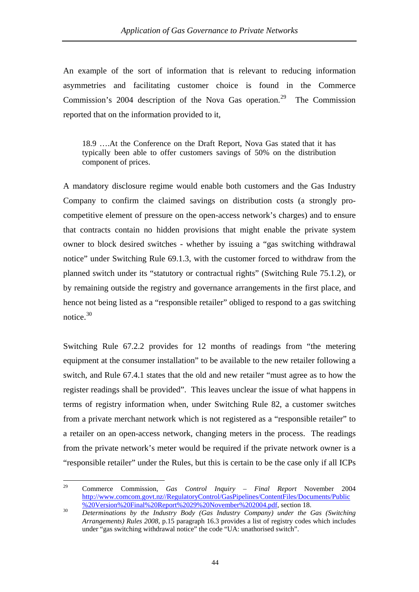<span id="page-47-0"></span>An example of the sort of information that is relevant to reducing information asymmetries and facilitating customer choice is found in the Commerce Commission's 2004 description of the Nova Gas operation.<sup>[29](#page-47-0)</sup> The Commission reported that on the information provided to it,

18.9 ….At the Conference on the Draft Report, Nova Gas stated that it has typically been able to offer customers savings of 50% on the distribution component of prices.

A mandatory disclosure regime would enable both customers and the Gas Industry Company to confirm the claimed savings on distribution costs (a strongly procompetitive element of pressure on the open-access network's charges) and to ensure that contracts contain no hidden provisions that might enable the private system owner to block desired switches - whether by issuing a "gas switching withdrawal notice" under Switching Rule 69.1.3, with the customer forced to withdraw from the planned switch under its "statutory or contractual rights" (Switching Rule 75.1.2), or by remaining outside the registry and governance arrangements in the first place, and hence not being listed as a "responsible retailer" obliged to respond to a gas switching notice.<sup>[30](#page-47-0)</sup>

Switching Rule 67.2.2 provides for 12 months of readings from "the metering equipment at the consumer installation" to be available to the new retailer following a switch, and Rule 67.4.1 states that the old and new retailer "must agree as to how the register readings shall be provided". This leaves unclear the issue of what happens in terms of registry information when, under Switching Rule 82, a customer switches from a private merchant network which is not registered as a "responsible retailer" to a retailer on an open-access network, changing meters in the process. The readings from the private network's meter would be required if the private network owner is a "responsible retailer" under the Rules, but this is certain to be the case only if all ICPs

<sup>29</sup> 29 Commerce Commission, *Gas Control Inquiry – Final Report* November 2004 [http://www.comcom.govt.nz//RegulatoryControl/GasPipelines/ContentFiles/Documents/Public](http://www.comcom.govt.nz//RegulatoryControl/GasPipelines/ContentFiles/Documents/Public%20Version%20Final%20Report%2029%20November%202004.pdf)<br>%20Version%20Final%20Report%2029%20November%202004.pdf, section 18.

[<sup>%20</sup>Version%20Final%20Report%2029%20November%202004.pdf](http://www.comcom.govt.nz//RegulatoryControl/GasPipelines/ContentFiles/Documents/Public%20Version%20Final%20Report%2029%20November%202004.pdf), section 18. 30 *Determinations by the Industry Body (Gas Industry Company) under the Gas (Switching Arrangements) Rules 2008*, p.15 paragraph 16.3 provides a list of registry codes which includes under "gas switching withdrawal notice" the code "UA: unathorised switch".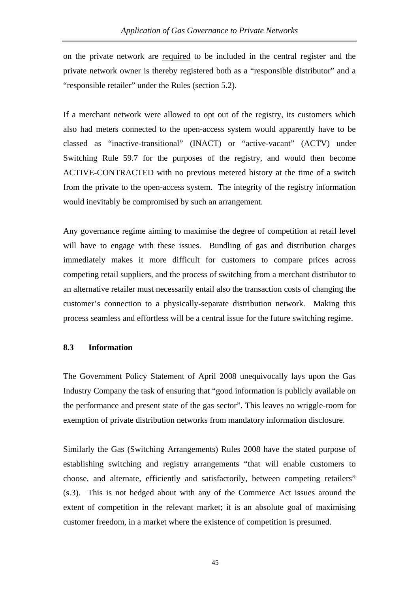on the private network are required to be included in the central register and the private network owner is thereby registered both as a "responsible distributor" and a "responsible retailer" under the Rules (section 5.2).

If a merchant network were allowed to opt out of the registry, its customers which also had meters connected to the open-access system would apparently have to be classed as "inactive-transitional" (INACT) or "active-vacant" (ACTV) under Switching Rule 59.7 for the purposes of the registry, and would then become ACTIVE-CONTRACTED with no previous metered history at the time of a switch from the private to the open-access system. The integrity of the registry information would inevitably be compromised by such an arrangement.

Any governance regime aiming to maximise the degree of competition at retail level will have to engage with these issues. Bundling of gas and distribution charges immediately makes it more difficult for customers to compare prices across competing retail suppliers, and the process of switching from a merchant distributor to an alternative retailer must necessarily entail also the transaction costs of changing the customer's connection to a physically-separate distribution network. Making this process seamless and effortless will be a central issue for the future switching regime.

#### **8.3 Information**

The Government Policy Statement of April 2008 unequivocally lays upon the Gas Industry Company the task of ensuring that "good information is publicly available on the performance and present state of the gas sector". This leaves no wriggle-room for exemption of private distribution networks from mandatory information disclosure.

Similarly the Gas (Switching Arrangements) Rules 2008 have the stated purpose of establishing switching and registry arrangements "that will enable customers to choose, and alternate, efficiently and satisfactorily, between competing retailers" (s.3). This is not hedged about with any of the Commerce Act issues around the extent of competition in the relevant market; it is an absolute goal of maximising customer freedom, in a market where the existence of competition is presumed.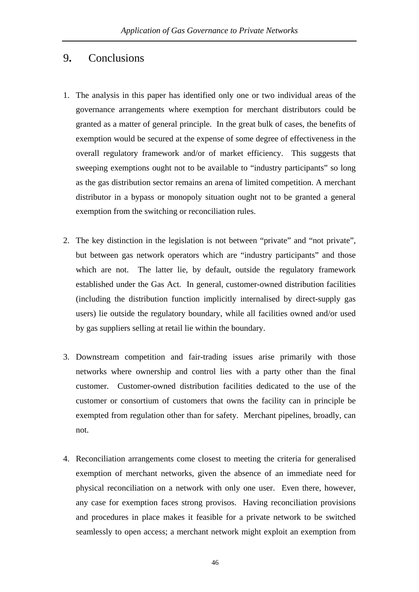# 9**.** Conclusions

- 1. The analysis in this paper has identified only one or two individual areas of the governance arrangements where exemption for merchant distributors could be granted as a matter of general principle. In the great bulk of cases, the benefits of exemption would be secured at the expense of some degree of effectiveness in the overall regulatory framework and/or of market efficiency. This suggests that sweeping exemptions ought not to be available to "industry participants" so long as the gas distribution sector remains an arena of limited competition. A merchant distributor in a bypass or monopoly situation ought not to be granted a general exemption from the switching or reconciliation rules.
- 2. The key distinction in the legislation is not between "private" and "not private", but between gas network operators which are "industry participants" and those which are not. The latter lie, by default, outside the regulatory framework established under the Gas Act. In general, customer-owned distribution facilities (including the distribution function implicitly internalised by direct-supply gas users) lie outside the regulatory boundary, while all facilities owned and/or used by gas suppliers selling at retail lie within the boundary.
- 3. Downstream competition and fair-trading issues arise primarily with those networks where ownership and control lies with a party other than the final customer. Customer-owned distribution facilities dedicated to the use of the customer or consortium of customers that owns the facility can in principle be exempted from regulation other than for safety. Merchant pipelines, broadly, can not.
- 4. Reconciliation arrangements come closest to meeting the criteria for generalised exemption of merchant networks, given the absence of an immediate need for physical reconciliation on a network with only one user. Even there, however, any case for exemption faces strong provisos. Having reconciliation provisions and procedures in place makes it feasible for a private network to be switched seamlessly to open access; a merchant network might exploit an exemption from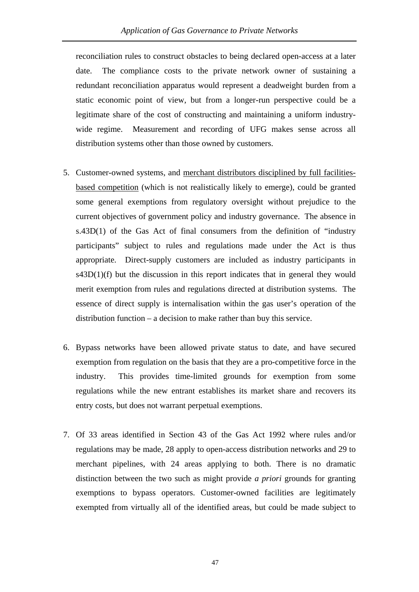reconciliation rules to construct obstacles to being declared open-access at a later date. The compliance costs to the private network owner of sustaining a redundant reconciliation apparatus would represent a deadweight burden from a static economic point of view, but from a longer-run perspective could be a legitimate share of the cost of constructing and maintaining a uniform industrywide regime. Measurement and recording of UFG makes sense across all distribution systems other than those owned by customers.

- 5. Customer-owned systems, and merchant distributors disciplined by full facilitiesbased competition (which is not realistically likely to emerge), could be granted some general exemptions from regulatory oversight without prejudice to the current objectives of government policy and industry governance. The absence in s.43D(1) of the Gas Act of final consumers from the definition of "industry participants" subject to rules and regulations made under the Act is thus appropriate. Direct-supply customers are included as industry participants in  $s43D(1)(f)$  but the discussion in this report indicates that in general they would merit exemption from rules and regulations directed at distribution systems. The essence of direct supply is internalisation within the gas user's operation of the distribution function – a decision to make rather than buy this service.
- 6. Bypass networks have been allowed private status to date, and have secured exemption from regulation on the basis that they are a pro-competitive force in the industry. This provides time-limited grounds for exemption from some regulations while the new entrant establishes its market share and recovers its entry costs, but does not warrant perpetual exemptions.
- 7. Of 33 areas identified in Section 43 of the Gas Act 1992 where rules and/or regulations may be made, 28 apply to open-access distribution networks and 29 to merchant pipelines, with 24 areas applying to both. There is no dramatic distinction between the two such as might provide *a priori* grounds for granting exemptions to bypass operators. Customer-owned facilities are legitimately exempted from virtually all of the identified areas, but could be made subject to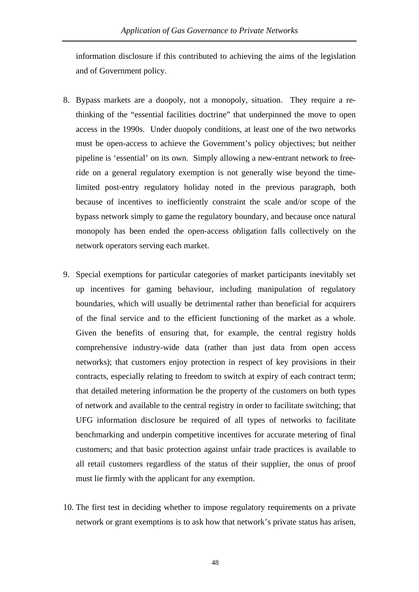information disclosure if this contributed to achieving the aims of the legislation and of Government policy.

- 8. Bypass markets are a duopoly, not a monopoly, situation. They require a rethinking of the "essential facilities doctrine" that underpinned the move to open access in the 1990s. Under duopoly conditions, at least one of the two networks must be open-access to achieve the Government's policy objectives; but neither pipeline is 'essential' on its own. Simply allowing a new-entrant network to freeride on a general regulatory exemption is not generally wise beyond the timelimited post-entry regulatory holiday noted in the previous paragraph, both because of incentives to inefficiently constraint the scale and/or scope of the bypass network simply to game the regulatory boundary, and because once natural monopoly has been ended the open-access obligation falls collectively on the network operators serving each market.
- 9. Special exemptions for particular categories of market participants inevitably set up incentives for gaming behaviour, including manipulation of regulatory boundaries, which will usually be detrimental rather than beneficial for acquirers of the final service and to the efficient functioning of the market as a whole. Given the benefits of ensuring that, for example, the central registry holds comprehensive industry-wide data (rather than just data from open access networks); that customers enjoy protection in respect of key provisions in their contracts, especially relating to freedom to switch at expiry of each contract term; that detailed metering information be the property of the customers on both types of network and available to the central registry in order to facilitate switching; that UFG information disclosure be required of all types of networks to facilitate benchmarking and underpin competitive incentives for accurate metering of final customers; and that basic protection against unfair trade practices is available to all retail customers regardless of the status of their supplier, the onus of proof must lie firmly with the applicant for any exemption.
- 10. The first test in deciding whether to impose regulatory requirements on a private network or grant exemptions is to ask how that network's private status has arisen,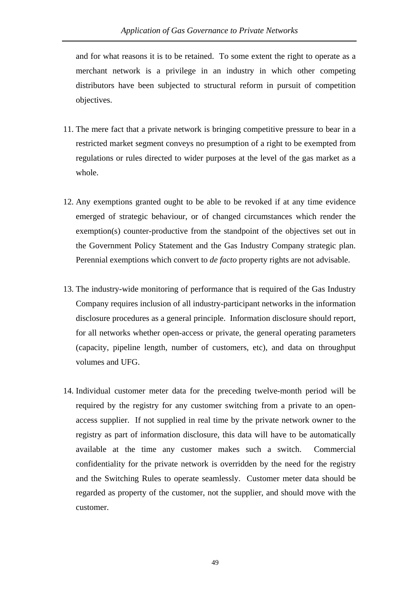and for what reasons it is to be retained. To some extent the right to operate as a merchant network is a privilege in an industry in which other competing distributors have been subjected to structural reform in pursuit of competition objectives.

- 11. The mere fact that a private network is bringing competitive pressure to bear in a restricted market segment conveys no presumption of a right to be exempted from regulations or rules directed to wider purposes at the level of the gas market as a whole.
- 12. Any exemptions granted ought to be able to be revoked if at any time evidence emerged of strategic behaviour, or of changed circumstances which render the exemption(s) counter-productive from the standpoint of the objectives set out in the Government Policy Statement and the Gas Industry Company strategic plan. Perennial exemptions which convert to *de facto* property rights are not advisable.
- 13. The industry-wide monitoring of performance that is required of the Gas Industry Company requires inclusion of all industry-participant networks in the information disclosure procedures as a general principle. Information disclosure should report, for all networks whether open-access or private, the general operating parameters (capacity, pipeline length, number of customers, etc), and data on throughput volumes and UFG.
- 14. Individual customer meter data for the preceding twelve-month period will be required by the registry for any customer switching from a private to an openaccess supplier. If not supplied in real time by the private network owner to the registry as part of information disclosure, this data will have to be automatically available at the time any customer makes such a switch. Commercial confidentiality for the private network is overridden by the need for the registry and the Switching Rules to operate seamlessly. Customer meter data should be regarded as property of the customer, not the supplier, and should move with the customer.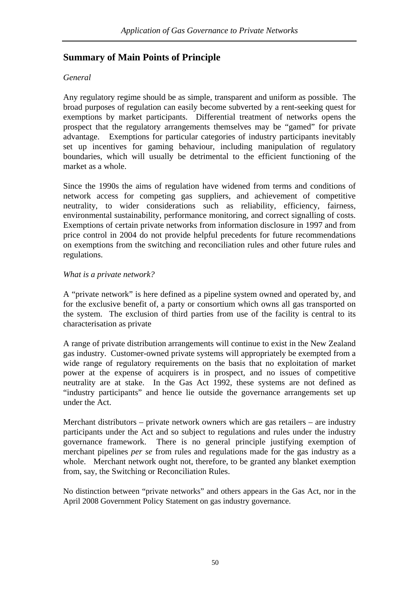# **Summary of Main Points of Principle**

# *General*

Any regulatory regime should be as simple, transparent and uniform as possible. The broad purposes of regulation can easily become subverted by a rent-seeking quest for exemptions by market participants. Differential treatment of networks opens the prospect that the regulatory arrangements themselves may be "gamed" for private advantage. Exemptions for particular categories of industry participants inevitably set up incentives for gaming behaviour, including manipulation of regulatory boundaries, which will usually be detrimental to the efficient functioning of the market as a whole.

Since the 1990s the aims of regulation have widened from terms and conditions of network access for competing gas suppliers, and achievement of competitive neutrality, to wider considerations such as reliability, efficiency, fairness, environmental sustainability, performance monitoring, and correct signalling of costs. Exemptions of certain private networks from information disclosure in 1997 and from price control in 2004 do not provide helpful precedents for future recommendations on exemptions from the switching and reconciliation rules and other future rules and regulations.

## *What is a private network?*

A "private network" is here defined as a pipeline system owned and operated by, and for the exclusive benefit of, a party or consortium which owns all gas transported on the system. The exclusion of third parties from use of the facility is central to its characterisation as private

A range of private distribution arrangements will continue to exist in the New Zealand gas industry. Customer-owned private systems will appropriately be exempted from a wide range of regulatory requirements on the basis that no exploitation of market power at the expense of acquirers is in prospect, and no issues of competitive neutrality are at stake. In the Gas Act 1992, these systems are not defined as "industry participants" and hence lie outside the governance arrangements set up under the Act.

Merchant distributors – private network owners which are gas retailers – are industry participants under the Act and so subject to regulations and rules under the industry governance framework. There is no general principle justifying exemption of merchant pipelines *per se* from rules and regulations made for the gas industry as a whole. Merchant network ought not, therefore, to be granted any blanket exemption from, say, the Switching or Reconciliation Rules.

No distinction between "private networks" and others appears in the Gas Act, nor in the April 2008 Government Policy Statement on gas industry governance.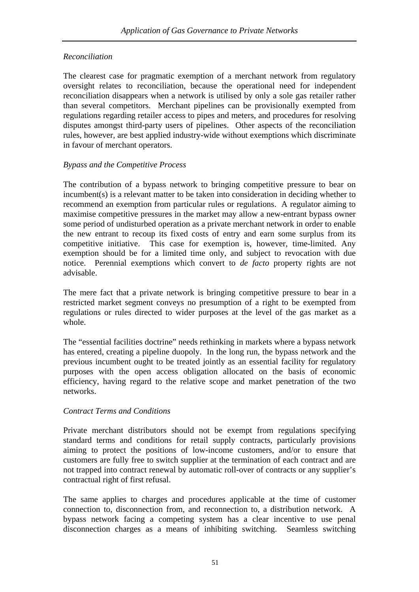# *Reconciliation*

The clearest case for pragmatic exemption of a merchant network from regulatory oversight relates to reconciliation, because the operational need for independent reconciliation disappears when a network is utilised by only a sole gas retailer rather than several competitors. Merchant pipelines can be provisionally exempted from regulations regarding retailer access to pipes and meters, and procedures for resolving disputes amongst third-party users of pipelines. Other aspects of the reconciliation rules, however, are best applied industry-wide without exemptions which discriminate in favour of merchant operators.

## *Bypass and the Competitive Process*

The contribution of a bypass network to bringing competitive pressure to bear on incumbent(s) is a relevant matter to be taken into consideration in deciding whether to recommend an exemption from particular rules or regulations. A regulator aiming to maximise competitive pressures in the market may allow a new-entrant bypass owner some period of undisturbed operation as a private merchant network in order to enable the new entrant to recoup its fixed costs of entry and earn some surplus from its competitive initiative. This case for exemption is, however, time-limited. Any exemption should be for a limited time only, and subject to revocation with due notice. Perennial exemptions which convert to *de facto* property rights are not advisable.

The mere fact that a private network is bringing competitive pressure to bear in a restricted market segment conveys no presumption of a right to be exempted from regulations or rules directed to wider purposes at the level of the gas market as a whole.

The "essential facilities doctrine" needs rethinking in markets where a bypass network has entered, creating a pipeline duopoly. In the long run, the bypass network and the previous incumbent ought to be treated jointly as an essential facility for regulatory purposes with the open access obligation allocated on the basis of economic efficiency, having regard to the relative scope and market penetration of the two networks.

## *Contract Terms and Conditions*

Private merchant distributors should not be exempt from regulations specifying standard terms and conditions for retail supply contracts, particularly provisions aiming to protect the positions of low-income customers, and/or to ensure that customers are fully free to switch supplier at the termination of each contract and are not trapped into contract renewal by automatic roll-over of contracts or any supplier's contractual right of first refusal.

The same applies to charges and procedures applicable at the time of customer connection to, disconnection from, and reconnection to, a distribution network. A bypass network facing a competing system has a clear incentive to use penal disconnection charges as a means of inhibiting switching. Seamless switching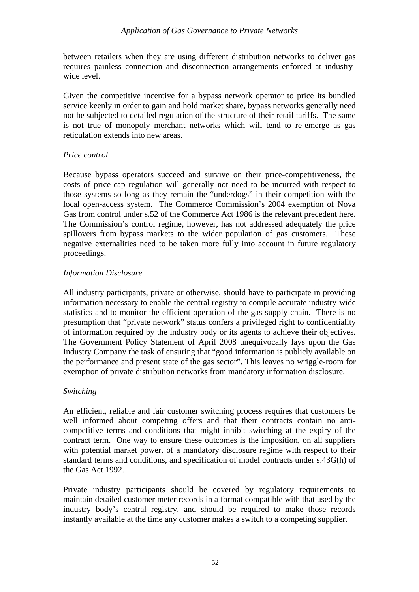between retailers when they are using different distribution networks to deliver gas requires painless connection and disconnection arrangements enforced at industrywide level.

Given the competitive incentive for a bypass network operator to price its bundled service keenly in order to gain and hold market share, bypass networks generally need not be subjected to detailed regulation of the structure of their retail tariffs. The same is not true of monopoly merchant networks which will tend to re-emerge as gas reticulation extends into new areas.

## *Price control*

Because bypass operators succeed and survive on their price-competitiveness, the costs of price-cap regulation will generally not need to be incurred with respect to those systems so long as they remain the "underdogs" in their competition with the local open-access system. The Commerce Commission's 2004 exemption of Nova Gas from control under s.52 of the Commerce Act 1986 is the relevant precedent here. The Commission's control regime, however, has not addressed adequately the price spillovers from bypass markets to the wider population of gas customers. These negative externalities need to be taken more fully into account in future regulatory proceedings.

# *Information Disclosure*

All industry participants, private or otherwise, should have to participate in providing information necessary to enable the central registry to compile accurate industry-wide statistics and to monitor the efficient operation of the gas supply chain. There is no presumption that "private network" status confers a privileged right to confidentiality of information required by the industry body or its agents to achieve their objectives. The Government Policy Statement of April 2008 unequivocally lays upon the Gas Industry Company the task of ensuring that "good information is publicly available on the performance and present state of the gas sector". This leaves no wriggle-room for exemption of private distribution networks from mandatory information disclosure.

## *Switching*

An efficient, reliable and fair customer switching process requires that customers be well informed about competing offers and that their contracts contain no anticompetitive terms and conditions that might inhibit switching at the expiry of the contract term. One way to ensure these outcomes is the imposition, on all suppliers with potential market power, of a mandatory disclosure regime with respect to their standard terms and conditions, and specification of model contracts under s.43G(h) of the Gas Act 1992.

Private industry participants should be covered by regulatory requirements to maintain detailed customer meter records in a format compatible with that used by the industry body's central registry, and should be required to make those records instantly available at the time any customer makes a switch to a competing supplier.